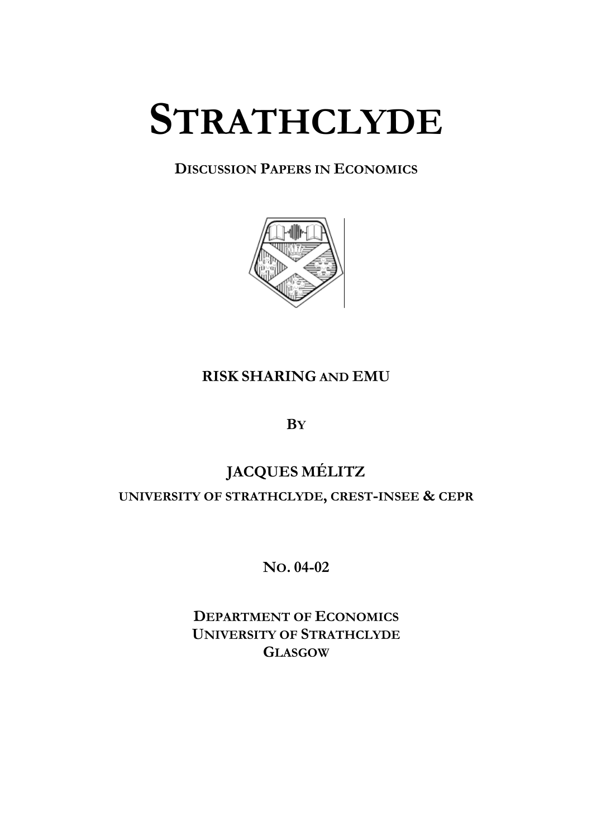# **STRATHCLYDE**

## **DISCUSSION PAPERS IN ECONOMICS**



## **RISK SHARING AND EMU**

**BY**

# **JACQUES MÉLITZ UNIVERSITY OF STRATHCLYDE, CREST-INSEE & CEPR**

**NO. 04-02** 

**DEPARTMENT OF ECONOMICS UNIVERSITY OF STRATHCLYDE GLASGOW**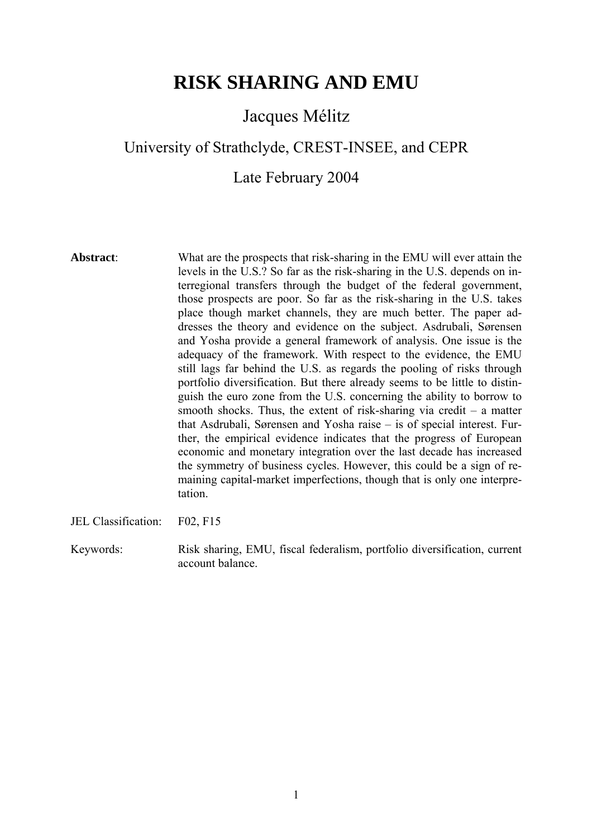## **RISK SHARING AND EMU**

## Jacques Mélitz

## University of Strathclyde, CREST-INSEE, and CEPR

## Late February 2004

**Abstract**: What are the prospects that risk-sharing in the EMU will ever attain the levels in the U.S.? So far as the risk-sharing in the U.S. depends on interregional transfers through the budget of the federal government, those prospects are poor. So far as the risk-sharing in the U.S. takes place though market channels, they are much better. The paper addresses the theory and evidence on the subject. Asdrubali, Sørensen and Yosha provide a general framework of analysis. One issue is the adequacy of the framework. With respect to the evidence, the EMU still lags far behind the U.S. as regards the pooling of risks through portfolio diversification. But there already seems to be little to distinguish the euro zone from the U.S. concerning the ability to borrow to smooth shocks. Thus, the extent of risk-sharing via credit  $-$  a matter that Asdrubali, Sørensen and Yosha raise – is of special interest. Further, the empirical evidence indicates that the progress of European economic and monetary integration over the last decade has increased the symmetry of business cycles. However, this could be a sign of remaining capital-market imperfections, though that is only one interpretation.

JEL Classification: F02, F15

Keywords: Risk sharing, EMU, fiscal federalism, portfolio diversification, current account balance.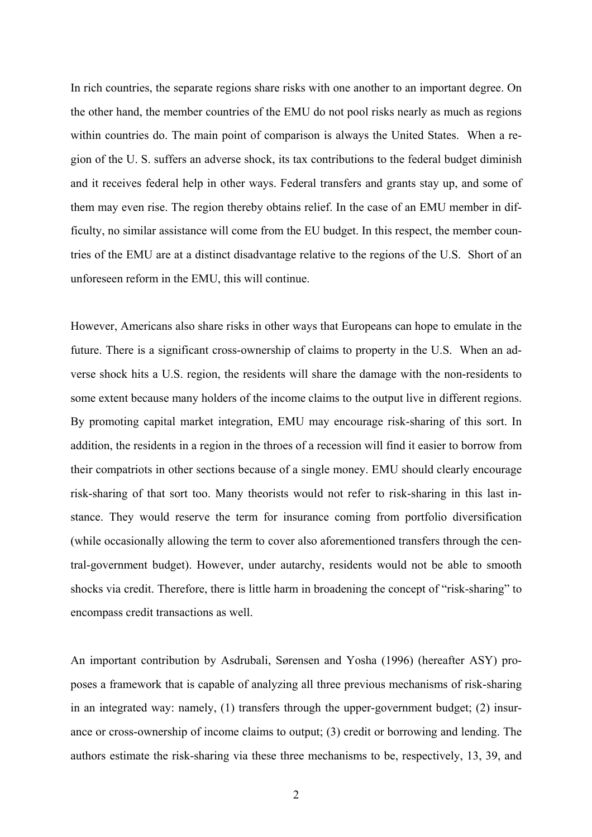In rich countries, the separate regions share risks with one another to an important degree. On the other hand, the member countries of the EMU do not pool risks nearly as much as regions within countries do. The main point of comparison is always the United States. When a region of the U. S. suffers an adverse shock, its tax contributions to the federal budget diminish and it receives federal help in other ways. Federal transfers and grants stay up, and some of them may even rise. The region thereby obtains relief. In the case of an EMU member in difficulty, no similar assistance will come from the EU budget. In this respect, the member countries of the EMU are at a distinct disadvantage relative to the regions of the U.S. Short of an unforeseen reform in the EMU, this will continue.

However, Americans also share risks in other ways that Europeans can hope to emulate in the future. There is a significant cross-ownership of claims to property in the U.S. When an adverse shock hits a U.S. region, the residents will share the damage with the non-residents to some extent because many holders of the income claims to the output live in different regions. By promoting capital market integration, EMU may encourage risk-sharing of this sort. In addition, the residents in a region in the throes of a recession will find it easier to borrow from their compatriots in other sections because of a single money. EMU should clearly encourage risk-sharing of that sort too. Many theorists would not refer to risk-sharing in this last instance. They would reserve the term for insurance coming from portfolio diversification (while occasionally allowing the term to cover also aforementioned transfers through the central-government budget). However, under autarchy, residents would not be able to smooth shocks via credit. Therefore, there is little harm in broadening the concept of "risk-sharing" to encompass credit transactions as well.

An important contribution by Asdrubali, Sørensen and Yosha (1996) (hereafter ASY) proposes a framework that is capable of analyzing all three previous mechanisms of risk-sharing in an integrated way: namely, (1) transfers through the upper-government budget; (2) insurance or cross-ownership of income claims to output; (3) credit or borrowing and lending. The authors estimate the risk-sharing via these three mechanisms to be, respectively, 13, 39, and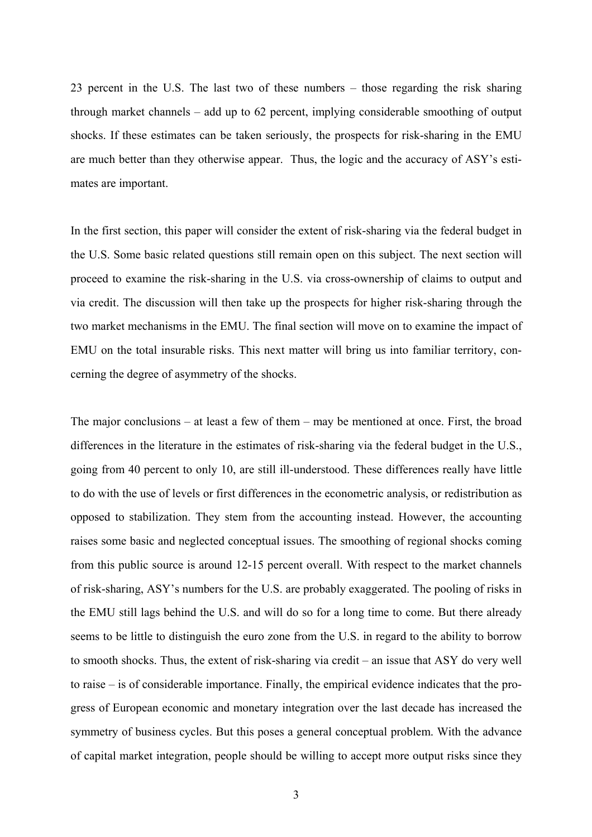23 percent in the U.S. The last two of these numbers – those regarding the risk sharing through market channels – add up to 62 percent, implying considerable smoothing of output shocks. If these estimates can be taken seriously, the prospects for risk-sharing in the EMU are much better than they otherwise appear. Thus, the logic and the accuracy of ASY's estimates are important.

In the first section, this paper will consider the extent of risk-sharing via the federal budget in the U.S. Some basic related questions still remain open on this subject. The next section will proceed to examine the risk-sharing in the U.S. via cross-ownership of claims to output and via credit. The discussion will then take up the prospects for higher risk-sharing through the two market mechanisms in the EMU. The final section will move on to examine the impact of EMU on the total insurable risks. This next matter will bring us into familiar territory, concerning the degree of asymmetry of the shocks.

The major conclusions – at least a few of them – may be mentioned at once. First, the broad differences in the literature in the estimates of risk-sharing via the federal budget in the U.S., going from 40 percent to only 10, are still ill-understood. These differences really have little to do with the use of levels or first differences in the econometric analysis, or redistribution as opposed to stabilization. They stem from the accounting instead. However, the accounting raises some basic and neglected conceptual issues. The smoothing of regional shocks coming from this public source is around 12-15 percent overall. With respect to the market channels of risk-sharing, ASY's numbers for the U.S. are probably exaggerated. The pooling of risks in the EMU still lags behind the U.S. and will do so for a long time to come. But there already seems to be little to distinguish the euro zone from the U.S. in regard to the ability to borrow to smooth shocks. Thus, the extent of risk-sharing via credit – an issue that ASY do very well to raise – is of considerable importance. Finally, the empirical evidence indicates that the progress of European economic and monetary integration over the last decade has increased the symmetry of business cycles. But this poses a general conceptual problem. With the advance of capital market integration, people should be willing to accept more output risks since they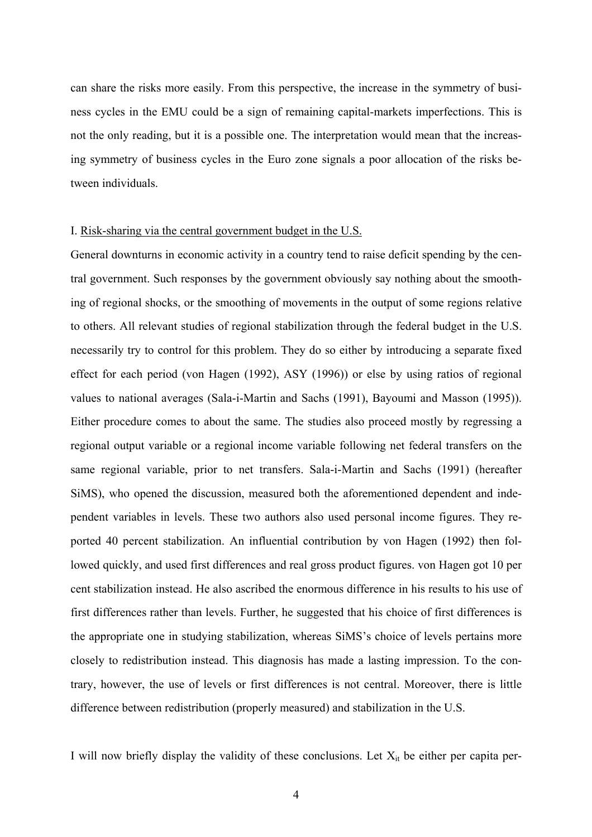can share the risks more easily. From this perspective, the increase in the symmetry of business cycles in the EMU could be a sign of remaining capital-markets imperfections. This is not the only reading, but it is a possible one. The interpretation would mean that the increasing symmetry of business cycles in the Euro zone signals a poor allocation of the risks between individuals.

#### I. Risk-sharing via the central government budget in the U.S.

General downturns in economic activity in a country tend to raise deficit spending by the central government. Such responses by the government obviously say nothing about the smoothing of regional shocks, or the smoothing of movements in the output of some regions relative to others. All relevant studies of regional stabilization through the federal budget in the U.S. necessarily try to control for this problem. They do so either by introducing a separate fixed effect for each period (von Hagen (1992), ASY (1996)) or else by using ratios of regional values to national averages (Sala-i-Martin and Sachs (1991), Bayoumi and Masson (1995)). Either procedure comes to about the same. The studies also proceed mostly by regressing a regional output variable or a regional income variable following net federal transfers on the same regional variable, prior to net transfers. Sala-i-Martin and Sachs (1991) (hereafter SiMS), who opened the discussion, measured both the aforementioned dependent and independent variables in levels. These two authors also used personal income figures. They reported 40 percent stabilization. An influential contribution by von Hagen (1992) then followed quickly, and used first differences and real gross product figures. von Hagen got 10 per cent stabilization instead. He also ascribed the enormous difference in his results to his use of first differences rather than levels. Further, he suggested that his choice of first differences is the appropriate one in studying stabilization, whereas SiMS's choice of levels pertains more closely to redistribution instead. This diagnosis has made a lasting impression. To the contrary, however, the use of levels or first differences is not central. Moreover, there is little difference between redistribution (properly measured) and stabilization in the U.S.

I will now briefly display the validity of these conclusions. Let  $X_{it}$  be either per capita per-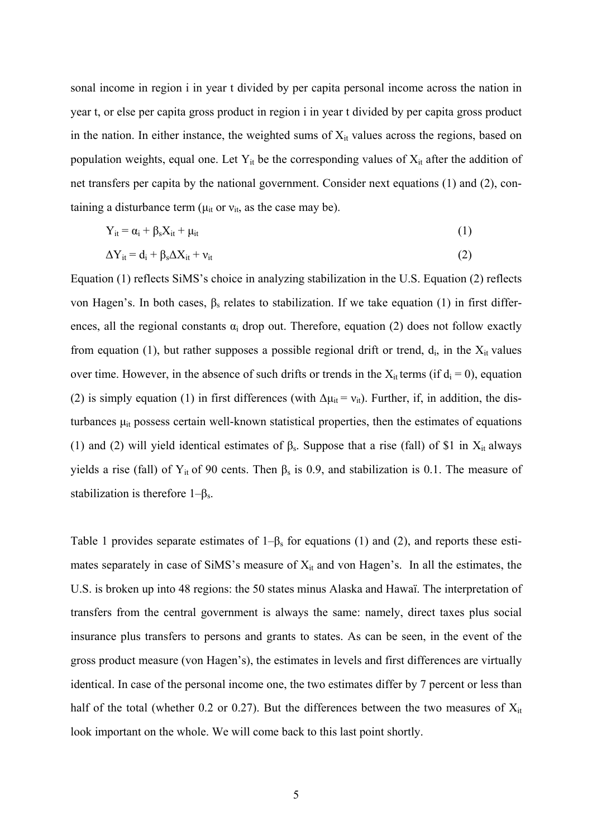sonal income in region i in year t divided by per capita personal income across the nation in year t, or else per capita gross product in region i in year t divided by per capita gross product in the nation. In either instance, the weighted sums of  $X_{it}$  values across the regions, based on population weights, equal one. Let  $Y_{it}$  be the corresponding values of  $X_{it}$  after the addition of net transfers per capita by the national government. Consider next equations (1) and (2), containing a disturbance term ( $\mu_{it}$  or  $v_{it}$ , as the case may be).

$$
Y_{it} = \alpha_i + \beta_s X_{it} + \mu_{it} \tag{1}
$$

$$
\Delta Y_{it} = d_i + \beta_s \Delta X_{it} + v_{it} \tag{2}
$$

Equation (1) reflects SiMS's choice in analyzing stabilization in the U.S. Equation (2) reflects von Hagen's. In both cases,  $β_s$  relates to stabilization. If we take equation (1) in first differences, all the regional constants  $\alpha_i$  drop out. Therefore, equation (2) does not follow exactly from equation (1), but rather supposes a possible regional drift or trend,  $d_i$ , in the  $X_{it}$  values over time. However, in the absence of such drifts or trends in the  $X_{it}$  terms (if  $d_i = 0$ ), equation (2) is simply equation (1) in first differences (with  $\Delta \mu_{it} = v_{it}$ ). Further, if, in addition, the disturbances  $\mu_{it}$  possess certain well-known statistical properties, then the estimates of equations (1) and (2) will yield identical estimates of  $\beta_s$ . Suppose that a rise (fall) of \$1 in X<sub>it</sub> always yields a rise (fall) of Y<sub>it</sub> of 90 cents. Then  $\beta_s$  is 0.9, and stabilization is 0.1. The measure of stabilization is therefore  $1-\beta_s$ .

Table 1 provides separate estimates of  $1-\beta_s$  for equations (1) and (2), and reports these estimates separately in case of SiMS's measure of  $X_{it}$  and von Hagen's. In all the estimates, the U.S. is broken up into 48 regions: the 50 states minus Alaska and Hawaï. The interpretation of transfers from the central government is always the same: namely, direct taxes plus social insurance plus transfers to persons and grants to states. As can be seen, in the event of the gross product measure (von Hagen's), the estimates in levels and first differences are virtually identical. In case of the personal income one, the two estimates differ by 7 percent or less than half of the total (whether 0.2 or 0.27). But the differences between the two measures of  $X_{it}$ look important on the whole. We will come back to this last point shortly.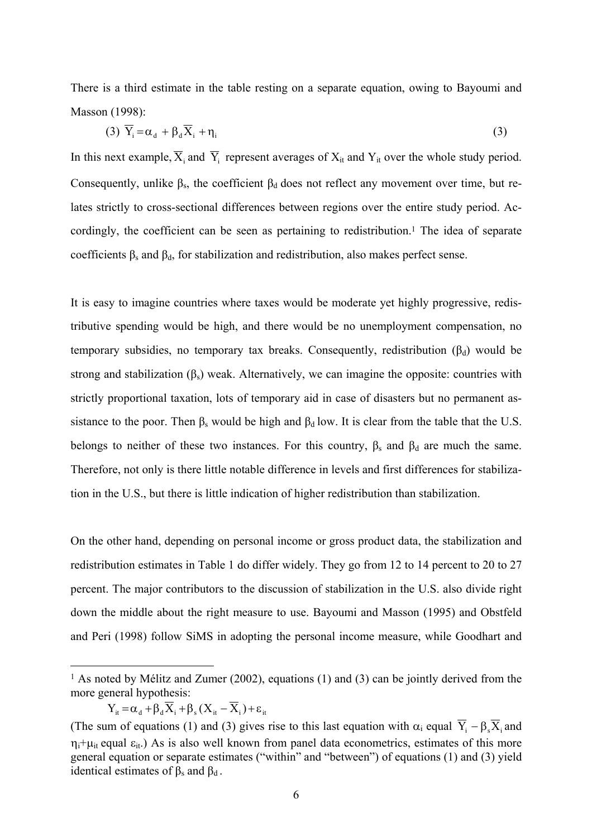There is a third estimate in the table resting on a separate equation, owing to Bayoumi and Masson (1998):

$$
(3) \ \overline{Y}_i = \alpha_d + \beta_d \overline{X}_i + \eta_i \tag{3}
$$

In this next example,  $\overline{X}_i$  and  $\overline{Y}_i$  represent averages of  $X_{it}$  and  $Y_{it}$  over the whole study period. Consequently, unlike  $\beta_s$ , the coefficient  $\beta_d$  does not reflect any movement over time, but relates strictly to cross-sectional differences between regions over the entire study period. Accordingly, the coefficient can be seen as pertaining to redistribution.<sup>1</sup> The idea of separate coefficients  $\beta_s$  and  $\beta_d$ , for stabilization and redistribution, also makes perfect sense.

It is easy to imagine countries where taxes would be moderate yet highly progressive, redistributive spending would be high, and there would be no unemployment compensation, no temporary subsidies, no temporary tax breaks. Consequently, redistribution  $(\beta_d)$  would be strong and stabilization  $(\beta_s)$  weak. Alternatively, we can imagine the opposite: countries with strictly proportional taxation, lots of temporary aid in case of disasters but no permanent assistance to the poor. Then  $\beta_s$  would be high and  $\beta_d$  low. It is clear from the table that the U.S. belongs to neither of these two instances. For this country,  $\beta_s$  and  $\beta_d$  are much the same. Therefore, not only is there little notable difference in levels and first differences for stabilization in the U.S., but there is little indication of higher redistribution than stabilization.

On the other hand, depending on personal income or gross product data, the stabilization and redistribution estimates in Table 1 do differ widely. They go from 12 to 14 percent to 20 to 27 percent. The major contributors to the discussion of stabilization in the U.S. also divide right down the middle about the right measure to use. Bayoumi and Masson (1995) and Obstfeld and Peri (1998) follow SiMS in adopting the personal income measure, while Goodhart and

$$
Y_{it} = \alpha_d + \beta_d \overline{X}_i + \beta_s (X_{it} - \overline{X}_i) + \varepsilon_{it}
$$

 $\overline{a}$ 

<sup>1</sup> As noted by Mélitz and Zumer (2002), equations (1) and (3) can be jointly derived from the more general hypothesis:

<sup>(</sup>The sum of equations (1) and (3) gives rise to this last equation with  $\alpha_i$  equal  $\overline{Y}_i - \beta_s \overline{X}_i$  and  $\eta_i+\mu_{i}$  equal  $\varepsilon_{i}$ .) As is also well known from panel data econometrics, estimates of this more general equation or separate estimates ("within" and "between") of equations (1) and (3) yield identical estimates of  $\beta_s$  and  $\beta_d$ .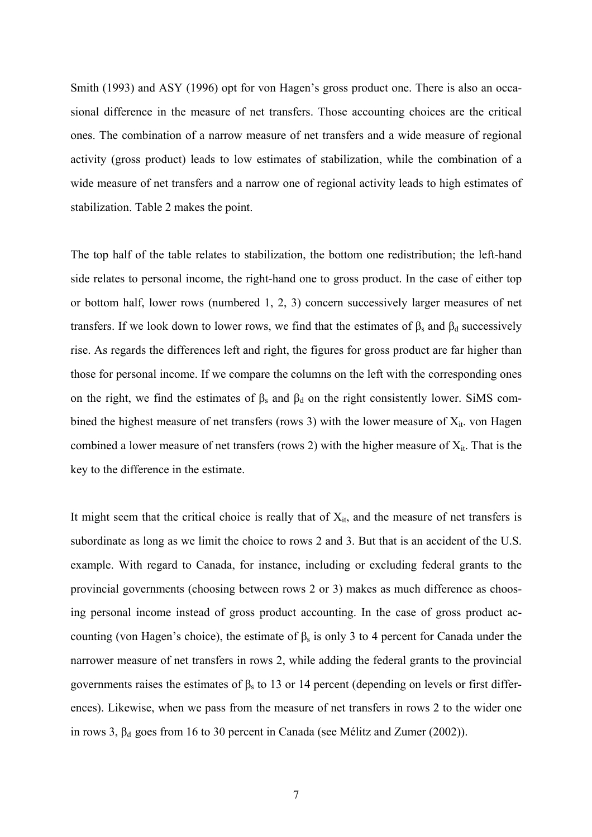Smith (1993) and ASY (1996) opt for von Hagen's gross product one. There is also an occasional difference in the measure of net transfers. Those accounting choices are the critical ones. The combination of a narrow measure of net transfers and a wide measure of regional activity (gross product) leads to low estimates of stabilization, while the combination of a wide measure of net transfers and a narrow one of regional activity leads to high estimates of stabilization. Table 2 makes the point.

The top half of the table relates to stabilization, the bottom one redistribution; the left-hand side relates to personal income, the right-hand one to gross product. In the case of either top or bottom half, lower rows (numbered 1, 2, 3) concern successively larger measures of net transfers. If we look down to lower rows, we find that the estimates of  $β_s$  and  $β_d$  successively rise. As regards the differences left and right, the figures for gross product are far higher than those for personal income. If we compare the columns on the left with the corresponding ones on the right, we find the estimates of  $\beta_s$  and  $\beta_d$  on the right consistently lower. SiMS combined the highest measure of net transfers (rows 3) with the lower measure of  $X_{it}$ . von Hagen combined a lower measure of net transfers (rows 2) with the higher measure of  $X_{it}$ . That is the key to the difference in the estimate.

It might seem that the critical choice is really that of  $X_{it}$ , and the measure of net transfers is subordinate as long as we limit the choice to rows 2 and 3. But that is an accident of the U.S. example. With regard to Canada, for instance, including or excluding federal grants to the provincial governments (choosing between rows 2 or 3) makes as much difference as choosing personal income instead of gross product accounting. In the case of gross product accounting (von Hagen's choice), the estimate of  $\beta_s$  is only 3 to 4 percent for Canada under the narrower measure of net transfers in rows 2, while adding the federal grants to the provincial governments raises the estimates of  $\beta_s$  to 13 or 14 percent (depending on levels or first differences). Likewise, when we pass from the measure of net transfers in rows 2 to the wider one in rows 3,  $β<sub>d</sub>$  goes from 16 to 30 percent in Canada (see Mélitz and Zumer (2002)).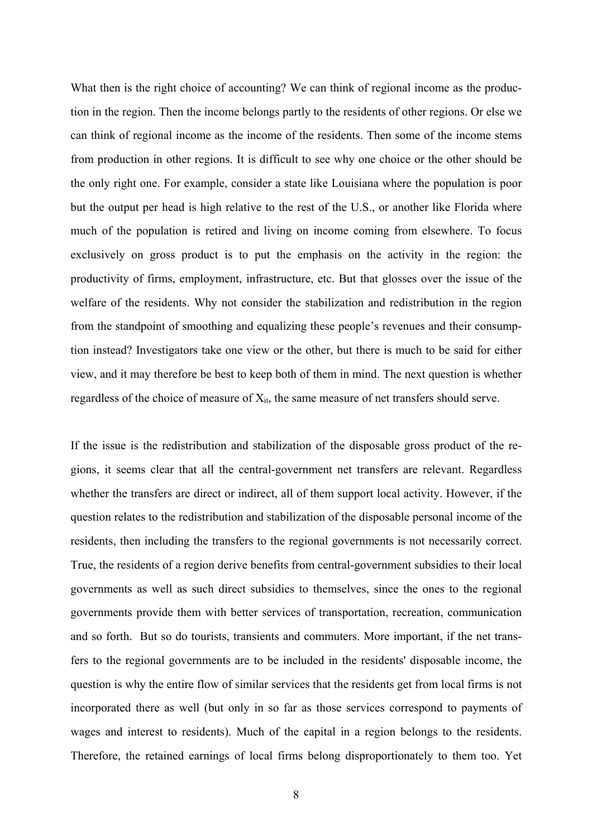What then is the right choice of accounting? We can think of regional income as the production in the region. Then the income belongs partly to the residents of other regions. Or else we can think of regional income as the income of the residents. Then some of the income stems from production in other regions. It is difficult to see why one choice or the other should be the only right one. For example, consider a state like Louisiana where the population is poor but the output per head is high relative to the rest of the U.S., or another like Florida where much of the population is retired and living on income coming from elsewhere. To focus exclusively on gross product is to put the emphasis on the activity in the region: the productivity of firms, employment, infrastructure, etc. But that glosses over the issue of the welfare of the residents. Why not consider the stabilization and redistribution in the region from the standpoint of smoothing and equalizing these people's revenues and their consumption instead? Investigators take one view or the other, but there is much to be said for either view, and it may therefore be best to keep both of them in mind. The next question is whether regardless of the choice of measure of  $X_{it}$ , the same measure of net transfers should serve.

If the issue is the redistribution and stabilization of the disposable gross product of the regions, it seems clear that all the central-government net transfers are relevant. Regardless whether the transfers are direct or indirect, all of them support local activity. However, if the question relates to the redistribution and stabilization of the disposable personal income of the residents, then including the transfers to the regional governments is not necessarily correct. True, the residents of a region derive benefits from central-government subsidies to their local governments as well as such direct subsidies to themselves, since the ones to the regional governments provide them with better services of transportation, recreation, communication and so forth. But so do tourists, transients and commuters. More important, if the net transfers to the regional governments are to be included in the residents' disposable income, the question is why the entire flow of similar services that the residents get from local firms is not incorporated there as well (but only in so far as those services correspond to payments of wages and interest to residents). Much of the capital in a region belongs to the residents. Therefore, the retained earnings of local firms belong disproportionately to them too. Yet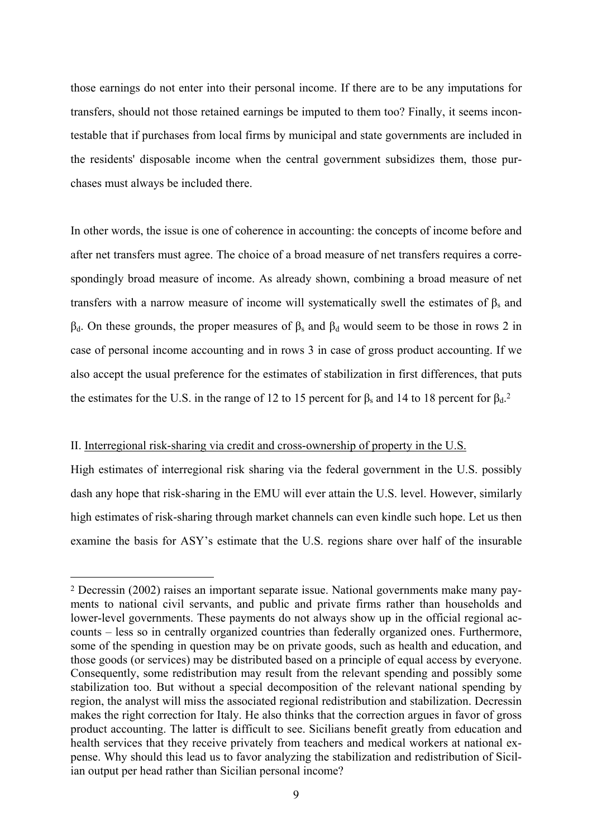those earnings do not enter into their personal income. If there are to be any imputations for transfers, should not those retained earnings be imputed to them too? Finally, it seems incontestable that if purchases from local firms by municipal and state governments are included in the residents' disposable income when the central government subsidizes them, those purchases must always be included there.

In other words, the issue is one of coherence in accounting: the concepts of income before and after net transfers must agree. The choice of a broad measure of net transfers requires a correspondingly broad measure of income. As already shown, combining a broad measure of net transfers with a narrow measure of income will systematically swell the estimates of  $β_s$  and  $β_d$ . On these grounds, the proper measures of  $β_s$  and  $β_d$  would seem to be those in rows 2 in case of personal income accounting and in rows 3 in case of gross product accounting. If we also accept the usual preference for the estimates of stabilization in first differences, that puts the estimates for the U.S. in the range of 12 to 15 percent for  $\beta_s$  and 14 to 18 percent for  $\beta_d$ .<sup>2</sup>

#### II. Interregional risk-sharing via credit and cross-ownership of property in the U.S.

 $\overline{a}$ 

High estimates of interregional risk sharing via the federal government in the U.S. possibly dash any hope that risk-sharing in the EMU will ever attain the U.S. level. However, similarly high estimates of risk-sharing through market channels can even kindle such hope. Let us then examine the basis for ASY's estimate that the U.S. regions share over half of the insurable

<sup>2</sup> Decressin (2002) raises an important separate issue. National governments make many payments to national civil servants, and public and private firms rather than households and lower-level governments. These payments do not always show up in the official regional accounts – less so in centrally organized countries than federally organized ones. Furthermore, some of the spending in question may be on private goods, such as health and education, and those goods (or services) may be distributed based on a principle of equal access by everyone. Consequently, some redistribution may result from the relevant spending and possibly some stabilization too. But without a special decomposition of the relevant national spending by region, the analyst will miss the associated regional redistribution and stabilization. Decressin makes the right correction for Italy. He also thinks that the correction argues in favor of gross product accounting. The latter is difficult to see. Sicilians benefit greatly from education and health services that they receive privately from teachers and medical workers at national expense. Why should this lead us to favor analyzing the stabilization and redistribution of Sicilian output per head rather than Sicilian personal income?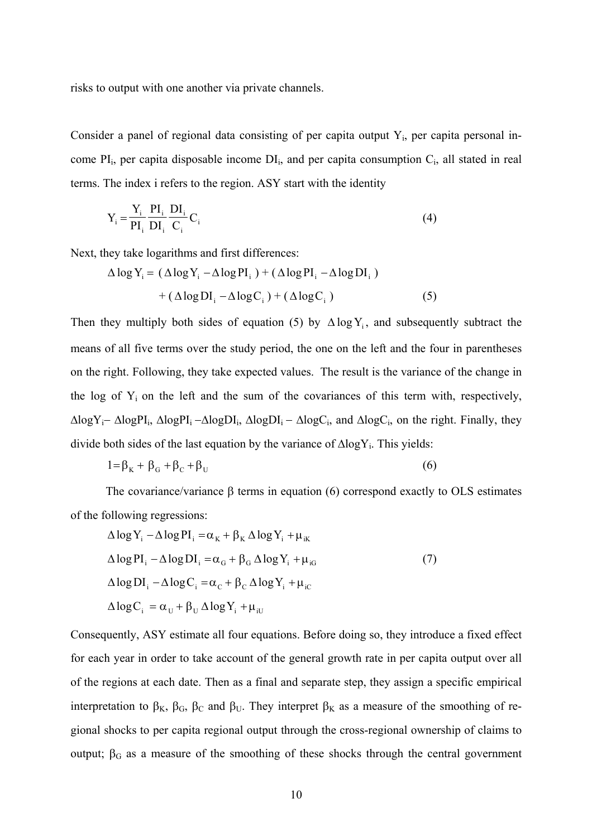risks to output with one another via private channels.

Consider a panel of regional data consisting of per capita output  $Y_i$ , per capita personal income  $PI_i$ , per capita disposable income  $DI_i$ , and per capita consumption  $C_i$ , all stated in real terms. The index i refers to the region. ASY start with the identity

$$
Y_i = \frac{Y_i}{PI_i} \frac{PI_i}{DI_i} \frac{DI_i}{C_i} C_i
$$
 (4)

Next, they take logarithms and first differences:

$$
\Delta \log Y_{i} = (\Delta \log Y_{i} - \Delta \log PI_{i}) + (\Delta \log PI_{i} - \Delta \log DI_{i})
$$

$$
+ (\Delta \log DI_{i} - \Delta \log C_{i}) + (\Delta \log C_{i}) \tag{5}
$$

Then they multiply both sides of equation (5) by  $\Delta \log Y_i$ , and subsequently subtract the means of all five terms over the study period, the one on the left and the four in parentheses on the right. Following, they take expected values. The result is the variance of the change in the log of  $Y_i$  on the left and the sum of the covariances of this term with, respectively, ∆logYi− ∆logPIi, ∆logPIi −∆logDIi, ∆logDIi − ∆logCi, and ∆logCi, on the right. Finally, they divide both sides of the last equation by the variance of  $\Delta$ logY<sub>i</sub>. This yields:

$$
1 = \beta_{\rm K} + \beta_{\rm G} + \beta_{\rm C} + \beta_{\rm U} \tag{6}
$$

The covariance/variance  $\beta$  terms in equation (6) correspond exactly to OLS estimates of the following regressions:

$$
\Delta \log Y_{i} - \Delta \log PI_{i} = \alpha_{K} + \beta_{K} \Delta \log Y_{i} + \mu_{iK}
$$
  
\n
$$
\Delta \log PI_{i} - \Delta \log DI_{i} = \alpha_{G} + \beta_{G} \Delta \log Y_{i} + \mu_{iG}
$$
  
\n
$$
\Delta \log DI_{i} - \Delta \log C_{i} = \alpha_{C} + \beta_{C} \Delta \log Y_{i} + \mu_{iC}
$$
  
\n
$$
\Delta \log C_{i} = \alpha_{U} + \beta_{U} \Delta \log Y_{i} + \mu_{iU}
$$
 (7)

Consequently, ASY estimate all four equations. Before doing so, they introduce a fixed effect for each year in order to take account of the general growth rate in per capita output over all of the regions at each date. Then as a final and separate step, they assign a specific empirical interpretation to β<sub>K</sub>, β<sub>G</sub>, β<sub>C</sub> and β<sub>U</sub>. They interpret β<sub>K</sub> as a measure of the smoothing of regional shocks to per capita regional output through the cross-regional ownership of claims to output;  $β<sub>G</sub>$  as a measure of the smoothing of these shocks through the central government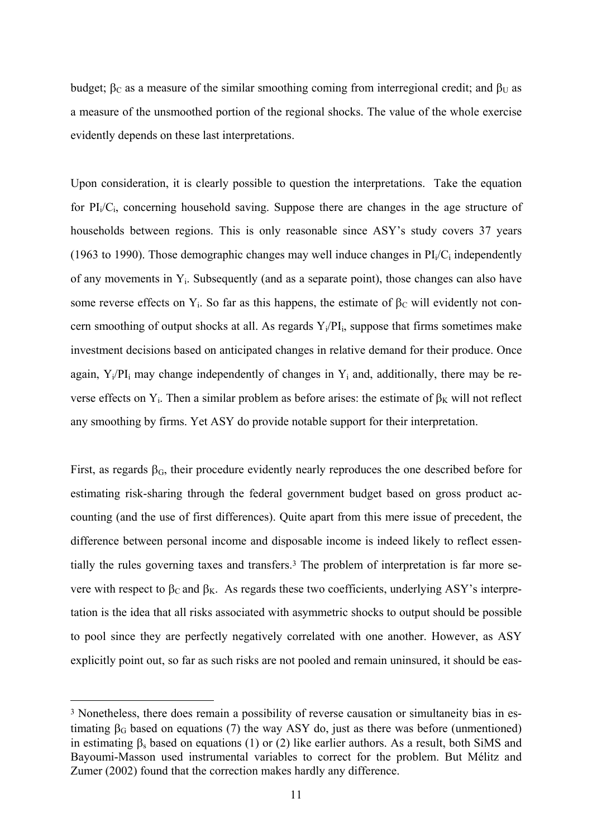budget;  $β<sub>C</sub>$  as a measure of the similar smoothing coming from interregional credit; and  $β<sub>U</sub>$  as a measure of the unsmoothed portion of the regional shocks. The value of the whole exercise evidently depends on these last interpretations.

Upon consideration, it is clearly possible to question the interpretations. Take the equation for  $PI_i/C_i$ , concerning household saving. Suppose there are changes in the age structure of households between regions. This is only reasonable since ASY's study covers 37 years (1963 to 1990). Those demographic changes may well induce changes in  $PI_i/C_i$  independently of any movements in Yi. Subsequently (and as a separate point), those changes can also have some reverse effects on Y<sub>i</sub>. So far as this happens, the estimate of  $\beta_c$  will evidently not concern smoothing of output shocks at all. As regards  $Y_i/PI_i$ , suppose that firms sometimes make investment decisions based on anticipated changes in relative demand for their produce. Once again,  $Y_i/PI_i$  may change independently of changes in  $Y_i$  and, additionally, there may be reverse effects on Y<sub>i</sub>. Then a similar problem as before arises: the estimate of  $\beta_K$  will not reflect any smoothing by firms. Yet ASY do provide notable support for their interpretation.

First, as regards  $\beta_G$ , their procedure evidently nearly reproduces the one described before for estimating risk-sharing through the federal government budget based on gross product accounting (and the use of first differences). Quite apart from this mere issue of precedent, the difference between personal income and disposable income is indeed likely to reflect essentially the rules governing taxes and transfers.3 The problem of interpretation is far more severe with respect to  $\beta_c$  and  $\beta_K$ . As regards these two coefficients, underlying ASY's interpretation is the idea that all risks associated with asymmetric shocks to output should be possible to pool since they are perfectly negatively correlated with one another. However, as ASY explicitly point out, so far as such risks are not pooled and remain uninsured, it should be eas-

<sup>&</sup>lt;sup>3</sup> Nonetheless, there does remain a possibility of reverse causation or simultaneity bias in estimating  $\beta_G$  based on equations (7) the way ASY do, just as there was before (unmentioned) in estimating  $\beta_s$  based on equations (1) or (2) like earlier authors. As a result, both SiMS and Bayoumi-Masson used instrumental variables to correct for the problem. But Mélitz and Zumer (2002) found that the correction makes hardly any difference.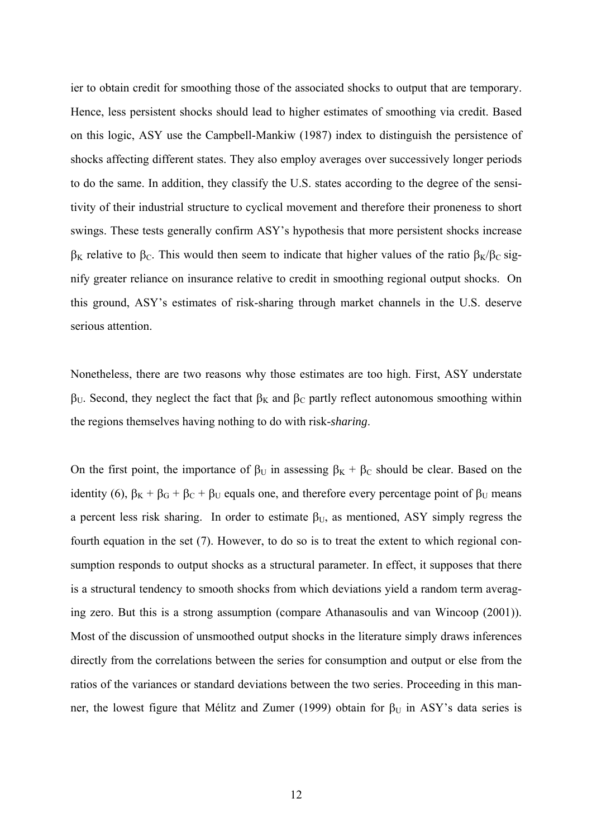ier to obtain credit for smoothing those of the associated shocks to output that are temporary. Hence, less persistent shocks should lead to higher estimates of smoothing via credit. Based on this logic, ASY use the Campbell-Mankiw (1987) index to distinguish the persistence of shocks affecting different states. They also employ averages over successively longer periods to do the same. In addition, they classify the U.S. states according to the degree of the sensitivity of their industrial structure to cyclical movement and therefore their proneness to short swings. These tests generally confirm ASY's hypothesis that more persistent shocks increase  $β$ <sub>K</sub> relative to  $β$ <sub>C</sub>. This would then seem to indicate that higher values of the ratio  $β$ <sub>K</sub>/ $β$ <sub>C</sub> signify greater reliance on insurance relative to credit in smoothing regional output shocks. On this ground, ASY's estimates of risk-sharing through market channels in the U.S. deserve serious attention.

Nonetheless, there are two reasons why those estimates are too high. First, ASY understate  $β$ <sub>U</sub>. Second, they neglect the fact that  $β$ <sub>K</sub> and  $β$ <sub>C</sub> partly reflect autonomous smoothing within the regions themselves having nothing to do with risk-*sharing*.

On the first point, the importance of  $\beta_U$  in assessing  $\beta_K + \beta_C$  should be clear. Based on the identity (6),  $\beta_K + \beta_G + \beta_C + \beta_U$  equals one, and therefore every percentage point of  $\beta_U$  means a percent less risk sharing. In order to estimate  $\beta_U$ , as mentioned, ASY simply regress the fourth equation in the set (7). However, to do so is to treat the extent to which regional consumption responds to output shocks as a structural parameter. In effect, it supposes that there is a structural tendency to smooth shocks from which deviations yield a random term averaging zero. But this is a strong assumption (compare Athanasoulis and van Wincoop (2001)). Most of the discussion of unsmoothed output shocks in the literature simply draws inferences directly from the correlations between the series for consumption and output or else from the ratios of the variances or standard deviations between the two series. Proceeding in this manner, the lowest figure that Mélitz and Zumer (1999) obtain for  $\beta_U$  in ASY's data series is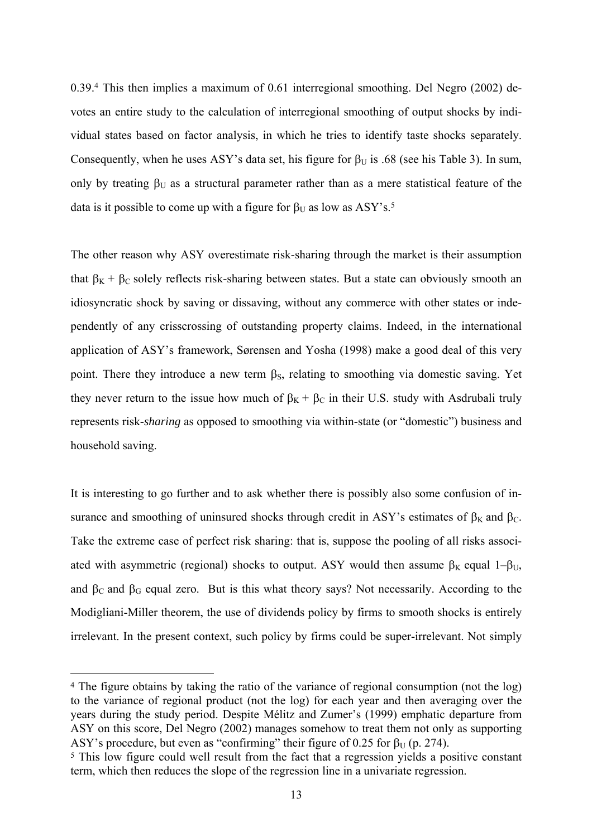0.39.4 This then implies a maximum of 0.61 interregional smoothing. Del Negro (2002) devotes an entire study to the calculation of interregional smoothing of output shocks by individual states based on factor analysis, in which he tries to identify taste shocks separately. Consequently, when he uses ASY's data set, his figure for  $\beta_U$  is .68 (see his Table 3). In sum, only by treating  $\beta_{U}$  as a structural parameter rather than as a mere statistical feature of the data is it possible to come up with a figure for  $\beta_U$  as low as ASY's.<sup>5</sup>

The other reason why ASY overestimate risk-sharing through the market is their assumption that  $\beta_K + \beta_C$  solely reflects risk-sharing between states. But a state can obviously smooth an idiosyncratic shock by saving or dissaving, without any commerce with other states or independently of any crisscrossing of outstanding property claims. Indeed, in the international application of ASY's framework, Sørensen and Yosha (1998) make a good deal of this very point. There they introduce a new term  $\beta_{S}$ , relating to smoothing via domestic saving. Yet they never return to the issue how much of  $\beta_K + \beta_C$  in their U.S. study with Asdrubali truly represents risk-*sharing* as opposed to smoothing via within-state (or "domestic") business and household saving.

It is interesting to go further and to ask whether there is possibly also some confusion of insurance and smoothing of uninsured shocks through credit in ASY's estimates of  $\beta_K$  and  $\beta_C$ . Take the extreme case of perfect risk sharing: that is, suppose the pooling of all risks associated with asymmetric (regional) shocks to output. ASY would then assume  $\beta_K$  equal 1– $\beta_U$ , and  $\beta_c$  and  $\beta_d$  equal zero. But is this what theory says? Not necessarily. According to the Modigliani-Miller theorem, the use of dividends policy by firms to smooth shocks is entirely irrelevant. In the present context, such policy by firms could be super-irrelevant. Not simply

 <sup>4</sup> The figure obtains by taking the ratio of the variance of regional consumption (not the log) to the variance of regional product (not the log) for each year and then averaging over the years during the study period. Despite Mélitz and Zumer's (1999) emphatic departure from ASY on this score, Del Negro (2002) manages somehow to treat them not only as supporting ASY's procedure, but even as "confirming" their figure of 0.25 for  $\beta$ <sub>U</sub> (p. 274).

<span id="page-13-0"></span><sup>&</sup>lt;sup>5</sup> This low figure could well result from the fact that a regression yields a positive constant term, which then reduces the slope of the regression line in a univariate regression.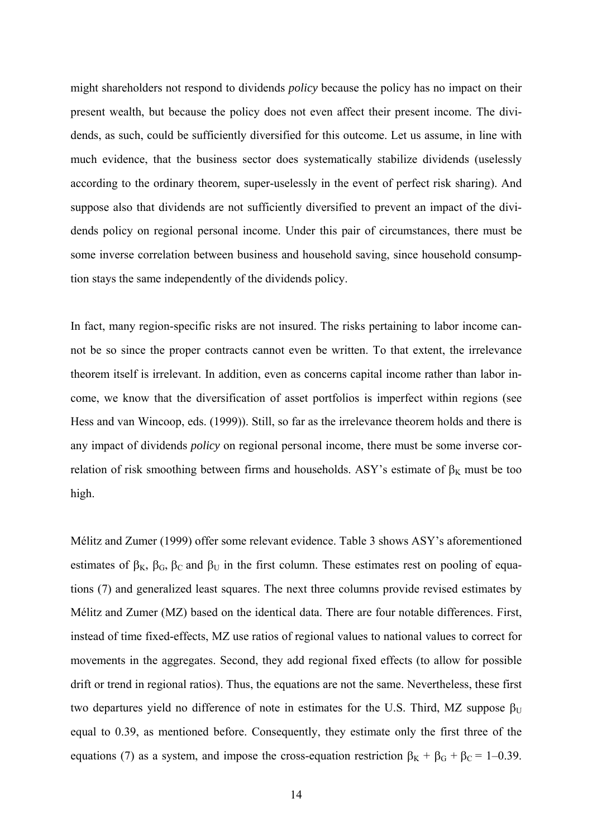might shareholders not respond to dividends *policy* because the policy has no impact on their present wealth, but because the policy does not even affect their present income. The dividends, as such, could be sufficiently diversified for this outcome. Let us assume, in line with much evidence, that the business sector does systematically stabilize dividends (uselessly according to the ordinary theorem, super-uselessly in the event of perfect risk sharing). And suppose also that dividends are not sufficiently diversified to prevent an impact of the dividends policy on regional personal income. Under this pair of circumstances, there must be some inverse correlation between business and household saving, since household consumption stays the same independently of the dividends policy.

In fact, many region-specific risks are not insured. The risks pertaining to labor income cannot be so since the proper contracts cannot even be written. To that extent, the irrelevance theorem itself is irrelevant. In addition, even as concerns capital income rather than labor income, we know that the diversification of asset portfolios is imperfect within regions (see Hess and van Wincoop, eds. (1999)). Still, so far as the irrelevance theorem holds and there is any impact of dividends *policy* on regional personal income, there must be some inverse correlation of risk smoothing between firms and households. ASY's estimate of  $\beta_K$  must be too high.

Mélitz and Zumer (1999) offer some relevant evidence. Table 3 shows ASY's aforementioned estimates of  $\beta_K$ ,  $\beta_G$ ,  $\beta_C$  and  $\beta_U$  in the first column. These estimates rest on pooling of equations (7) and generalized least squares. The next three columns provide revised estimates by Mélitz and Zumer (MZ) based on the identical data. There are four notable differences. First, instead of time fixed-effects, MZ use ratios of regional values to national values to correct for movements in the aggregates. Second, they add regional fixed effects (to allow for possible drift or trend in regional ratios). Thus, the equations are not the same. Nevertheless, these first two departures yield no difference of note in estimates for the U.S. Third, MZ suppose  $\beta_{\text{U}}$ equal to 0.39, as mentioned before. Consequently, they estimate only the first three of the equations (7) as a system, and impose the cross-equation restriction  $\beta_K + \beta_G + \beta_C = 1 - 0.39$ .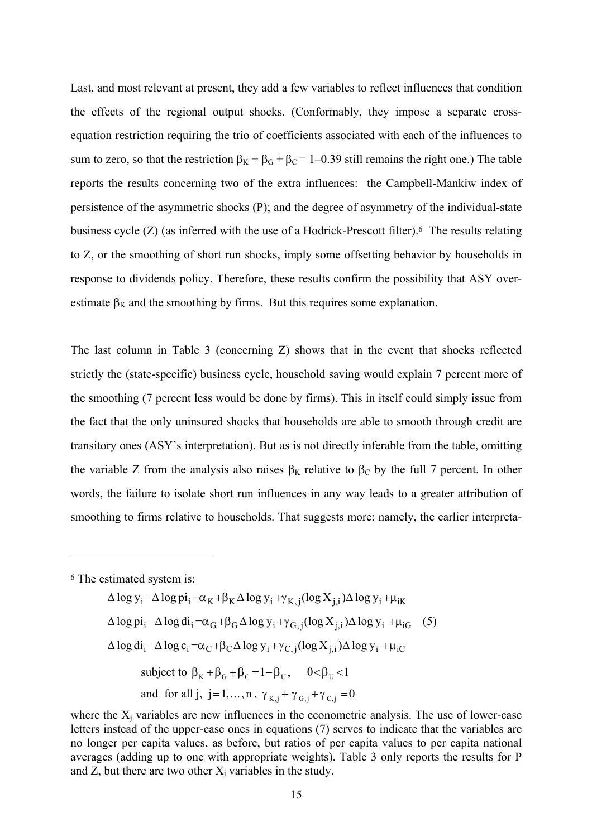Last, and most relevant at present, they add a few variables to reflect influences that condition the effects of the regional output shocks. (Conformably, they impose a separate crossequation restriction requiring the trio of coefficients associated with each of the influences to sum to zero, so that the restriction  $\beta_K + \beta_G + \beta_C = 1 - 0.39$  still remains the right one.) The table reports the results concerning two of the extra influences: the Campbell-Mankiw index of persistence of the asymmetric shocks (P); and the degree of asymmetry of the individual-state business cycle (Z) (as inferred with the use of a Hodrick-Prescott filter).6 The results relating to Z, or the smoothing of short run shocks, imply some offsetting behavior by households in response to dividends policy. Therefore, these results confirm the possibility that ASY overestimate  $\beta_K$  and the smoothing by firms. But this requires some explanation.

The last column in Table 3 (concerning Z) shows that in the event that shocks reflected strictly the (state-specific) business cycle, household saving would explain 7 percent more of the smoothing (7 percent less would be done by firms). This in itself could simply issue from the fact that the only uninsured shocks that households are able to smooth through credit are transitory ones (ASY's interpretation). But as is not directly inferable from the table, omitting the variable Z from the analysis also raises  $\beta_K$  relative to  $\beta_C$  by the full 7 percent. In other words, the failure to isolate short run influences in any way leads to a greater attribution of smoothing to firms relative to households. That suggests more: namely, the earlier interpreta-

6 The estimated system is:

 $\overline{a}$ 

 $\Delta \log y_i - \Delta \log \pi_i = \alpha_K + \beta_K \Delta \log y_i + \gamma_K$  ;  $(\log X_i) \Delta \log y_i + \mu_{iK}$  $\Delta \log \pi_i - \Delta \log d_i = \alpha_G + \beta_G \Delta \log y_i + \gamma_{G,i} (\log X_{i,i}) \Delta \log y_i + \mu_{iG}$  (5)  $\Delta \log d_i - \Delta \log c_i = \alpha_C + \beta_C \Delta \log y_i + \gamma_{C,i} (\log X_{i,i}) \Delta \log y_i + \mu_{iC}$ subject to  $\beta_K + \beta_G + \beta_C = 1 - \beta_H$ ,  $0 < \beta_H < 1$ and for all j, j=1,..., n,  $\gamma_{K,i} + \gamma_{G,i} + \gamma_{C,i} = 0$ 

where the  $X_j$  variables are new influences in the econometric analysis. The use of lower-case letters instead of the upper-case ones in equations (7) serves to indicate that the variables are no longer per capita values, as before, but ratios of per capita values to per capita national averages (adding up to one with appropriate weights). Table 3 only reports the results for P and Z, but there are two other  $X_i$  variables in the study.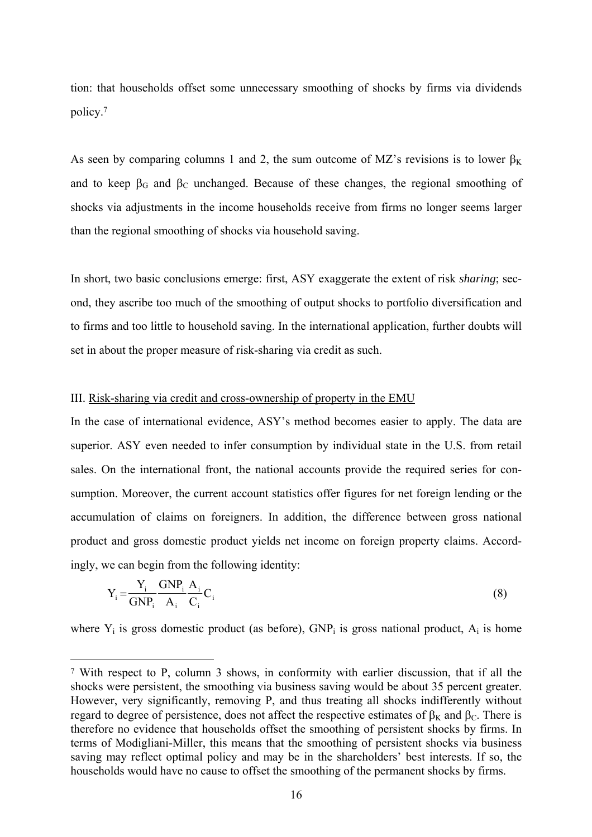tion: that households offset some unnecessary smoothing of shocks by firms via dividends policy.7

As seen by comparing columns 1 and 2, the sum outcome of MZ's revisions is to lower  $\beta_K$ and to keep  $\beta_G$  and  $\beta_C$  unchanged. Because of these changes, the regional smoothing of shocks via adjustments in the income households receive from firms no longer seems larger than the regional smoothing of shocks via household saving.

In short, two basic conclusions emerge: first, ASY exaggerate the extent of risk *sharing*; second, they ascribe too much of the smoothing of output shocks to portfolio diversification and to firms and too little to household saving. In the international application, further doubts will set in about the proper measure of risk-sharing via credit as such.

#### III. Risk-sharing via credit and cross-ownership of property in the EMU

In the case of international evidence, ASY's method becomes easier to apply. The data are superior. ASY even needed to infer consumption by individual state in the U.S. from retail sales. On the international front, the national accounts provide the required series for consumption. Moreover, the current account statistics offer figures for net foreign lending or the accumulation of claims on foreigners. In addition, the difference between gross national product and gross domestic product yields net income on foreign property claims. Accordingly, we can begin from the following identity:

$$
Y_i = \frac{Y_i}{GNP_i} \frac{GNP_i}{A_i} \frac{A_i}{C_i} C_i
$$
 (8)

where  $Y_i$  is gross domestic product (as before),  $GNP_i$  is gross national product,  $A_i$  is home

 <sup>7</sup> With respect to P, column 3 shows, in conformity with earlier discussion, that if all the shocks were persistent, the smoothing via business saving would be about 35 percent greater. However, very significantly, removing P, and thus treating all shocks indifferently without regard to degree of persistence, does not affect the respective estimates of  $\beta_K$  and  $\beta_C$ . There is therefore no evidence that households offset the smoothing of persistent shocks by firms. In terms of Modigliani-Miller, this means that the smoothing of persistent shocks via business saving may reflect optimal policy and may be in the shareholders' best interests. If so, the households would have no cause to offset the smoothing of the permanent shocks by firms.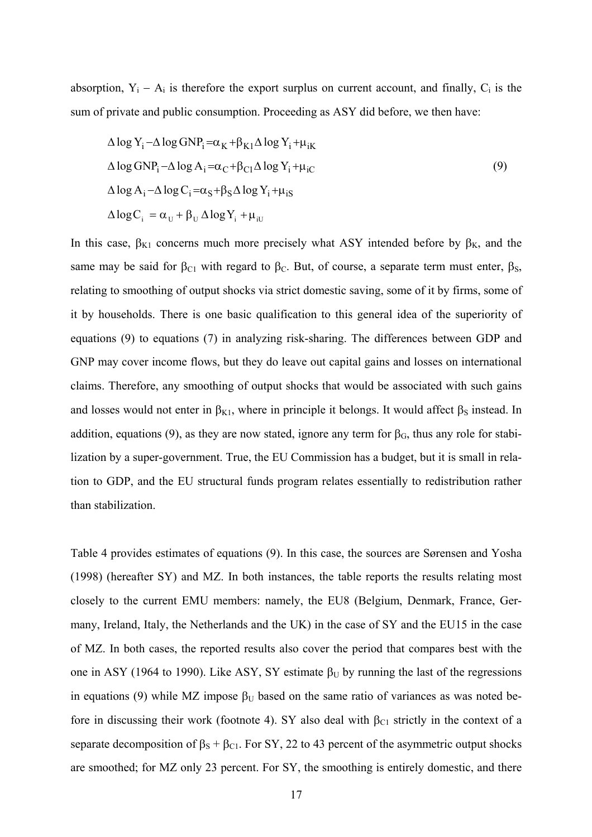absorption,  $Y_i - A_i$  is therefore the export surplus on current account, and finally,  $C_i$  is the sum of private and public consumption. Proceeding as ASY did before, we then have:

$$
\Delta \log Y_{i} - \Delta \log GNP_{i} = \alpha_{K} + \beta_{K1} \Delta \log Y_{i} + \mu_{iK}
$$
  
\n
$$
\Delta \log GNP_{i} - \Delta \log A_{i} = \alpha_{C} + \beta_{C1} \Delta \log Y_{i} + \mu_{iC}
$$
  
\n
$$
\Delta \log A_{i} - \Delta \log C_{i} = \alpha_{S} + \beta_{S} \Delta \log Y_{i} + \mu_{iS}
$$
  
\n
$$
\Delta \log C_{i} = \alpha_{U} + \beta_{U} \Delta \log Y_{i} + \mu_{iU}
$$
  
\n(9)

In this case,  $\beta_{K1}$  concerns much more precisely what ASY intended before by  $\beta_{K}$ , and the same may be said for  $\beta_{C1}$  with regard to  $\beta_C$ . But, of course, a separate term must enter,  $\beta_S$ , relating to smoothing of output shocks via strict domestic saving, some of it by firms, some of it by households. There is one basic qualification to this general idea of the superiority of equations (9) to equations (7) in analyzing risk-sharing. The differences between GDP and GNP may cover income flows, but they do leave out capital gains and losses on international claims. Therefore, any smoothing of output shocks that would be associated with such gains and losses would not enter in  $\beta_{K1}$ , where in principle it belongs. It would affect  $\beta_S$  instead. In addition, equations (9), as they are now stated, ignore any term for  $\beta_G$ , thus any role for stabilization by a super-government. True, the EU Commission has a budget, but it is small in relation to GDP, and the EU structural funds program relates essentially to redistribution rather than stabilization.

Table 4 provides estimates of equations (9). In this case, the sources are Sørensen and Yosha (1998) (hereafter SY) and MZ. In both instances, the table reports the results relating most closely to the current EMU members: namely, the EU8 (Belgium, Denmark, France, Germany, Ireland, Italy, the Netherlands and the UK) in the case of SY and the EU15 in the case of MZ. In both cases, the reported results also cover the period that compares best with the one in ASY (1964 to 1990). Like ASY, SY estimate  $β$ <sub>U</sub> by running the last of the regressions in equations (9) while MZ impose  $\beta_U$  based on the same ratio of variances as was noted before in discussing their work (footnote 4). SY also deal with  $\beta_{C1}$  strictly in the context of a separate decomposition of  $\beta_s + \beta_{c1}$ . For SY, 22 to 43 percent of the asymmetric output shocks are smoothed; for MZ only 23 percent. For SY, the smoothing is entirely domestic, and there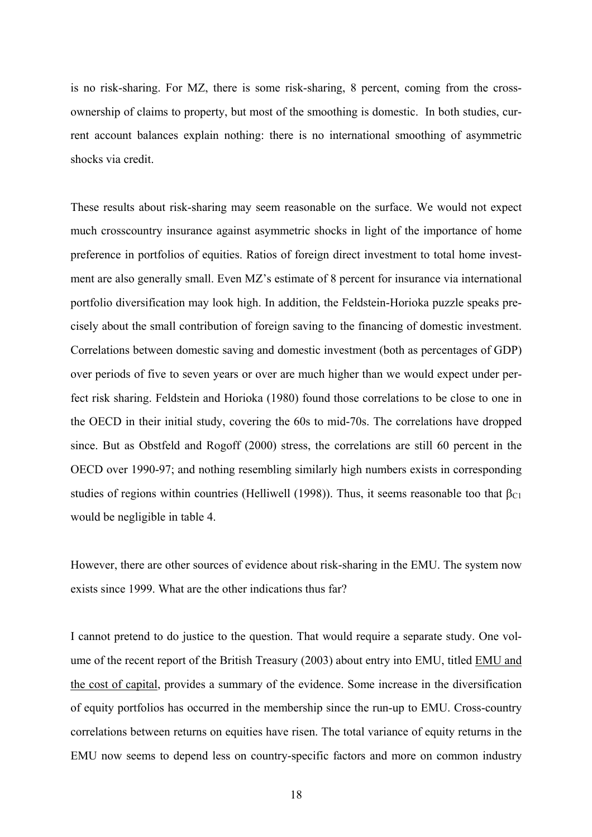is no risk-sharing. For MZ, there is some risk-sharing, 8 percent, coming from the crossownership of claims to property, but most of the smoothing is domestic. In both studies, current account balances explain nothing: there is no international smoothing of asymmetric shocks via credit.

These results about risk-sharing may seem reasonable on the surface. We would not expect much crosscountry insurance against asymmetric shocks in light of the importance of home preference in portfolios of equities. Ratios of foreign direct investment to total home investment are also generally small. Even MZ's estimate of 8 percent for insurance via international portfolio diversification may look high. In addition, the Feldstein-Horioka puzzle speaks precisely about the small contribution of foreign saving to the financing of domestic investment. Correlations between domestic saving and domestic investment (both as percentages of GDP) over periods of five to seven years or over are much higher than we would expect under perfect risk sharing. Feldstein and Horioka (1980) found those correlations to be close to one in the OECD in their initial study, covering the 60s to mid-70s. The correlations have dropped since. But as Obstfeld and Rogoff (2000) stress, the correlations are still 60 percent in the OECD over 1990-97; and nothing resembling similarly high numbers exists in corresponding studies of regions within countries (Helliwell (1998)). Thus, it seems reasonable too that  $\beta_{C1}$ would be negligible in table 4.

However, there are other sources of evidence about risk-sharing in the EMU. The system now exists since 1999. What are the other indications thus far?

I cannot pretend to do justice to the question. That would require a separate study. One volume of the recent report of the British Treasury (2003) about entry into EMU, titled EMU and the cost of capital, provides a summary of the evidence. Some increase in the diversification of equity portfolios has occurred in the membership since the run-up to EMU. Cross-country correlations between returns on equities have risen. The total variance of equity returns in the EMU now seems to depend less on country-specific factors and more on common industry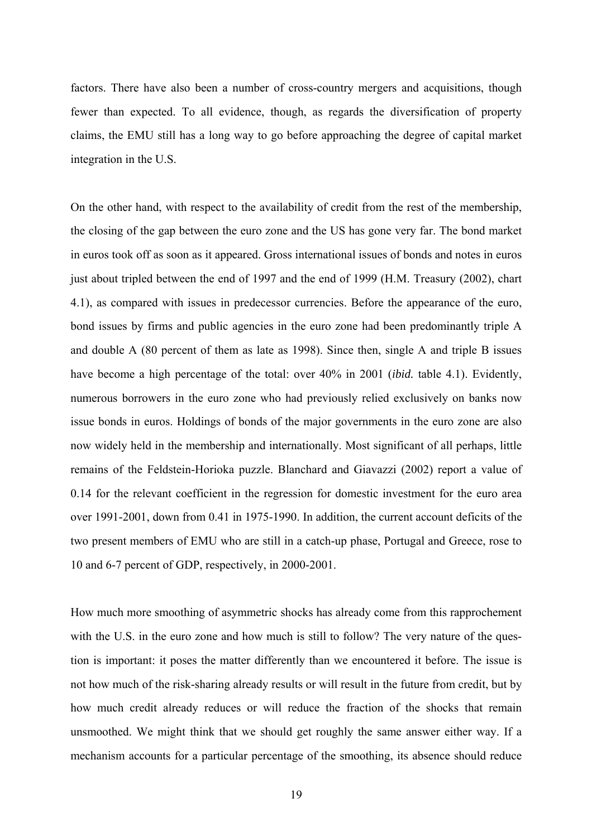factors. There have also been a number of cross-country mergers and acquisitions, though fewer than expected. To all evidence, though, as regards the diversification of property claims, the EMU still has a long way to go before approaching the degree of capital market integration in the U.S.

On the other hand, with respect to the availability of credit from the rest of the membership, the closing of the gap between the euro zone and the US has gone very far. The bond market in euros took off as soon as it appeared. Gross international issues of bonds and notes in euros just about tripled between the end of 1997 and the end of 1999 (H.M. Treasury (2002), chart 4.1), as compared with issues in predecessor currencies. Before the appearance of the euro, bond issues by firms and public agencies in the euro zone had been predominantly triple A and double A (80 percent of them as late as 1998). Since then, single A and triple B issues have become a high percentage of the total: over 40% in 2001 (*ibid.* table 4.1). Evidently, numerous borrowers in the euro zone who had previously relied exclusively on banks now issue bonds in euros. Holdings of bonds of the major governments in the euro zone are also now widely held in the membership and internationally. Most significant of all perhaps, little remains of the Feldstein-Horioka puzzle. Blanchard and Giavazzi (2002) report a value of 0.14 for the relevant coefficient in the regression for domestic investment for the euro area over 1991-2001, down from 0.41 in 1975-1990. In addition, the current account deficits of the two present members of EMU who are still in a catch-up phase, Portugal and Greece, rose to 10 and 6-7 percent of GDP, respectively, in 2000-2001.

How much more smoothing of asymmetric shocks has already come from this rapprochement with the U.S. in the euro zone and how much is still to follow? The very nature of the question is important: it poses the matter differently than we encountered it before. The issue is not how much of the risk-sharing already results or will result in the future from credit, but by how much credit already reduces or will reduce the fraction of the shocks that remain unsmoothed. We might think that we should get roughly the same answer either way. If a mechanism accounts for a particular percentage of the smoothing, its absence should reduce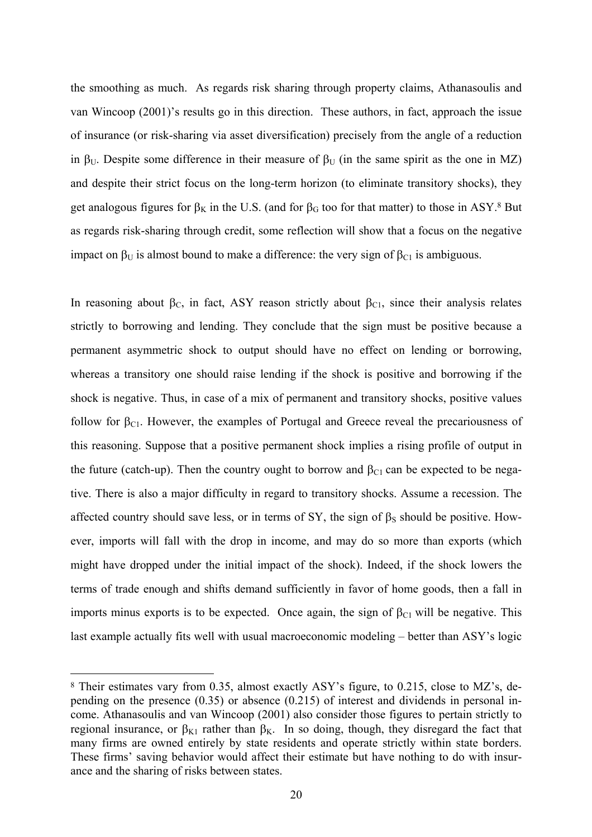the smoothing as much. As regards risk sharing through property claims, Athanasoulis and van Wincoop (2001)'s results go in this direction. These authors, in fact, approach the issue of insurance (or risk-sharing via asset diversification) precisely from the angle of a reduction in  $\beta_U$ . Despite some difference in their measure of  $\beta_U$  (in the same spirit as the one in MZ) and despite their strict focus on the long-term horizon (to eliminate transitory shocks), they get analogous figures for  $\beta_K$  in the U.S. (and for  $\beta_G$  too for that matter) to those in ASY.<sup>8</sup> But as regards risk-sharing through credit, some reflection will show that a focus on the negative impact on  $\beta_U$  is almost bound to make a difference: the very sign of  $\beta_{Cl}$  is ambiguous.

In reasoning about  $\beta_c$ , in fact, ASY reason strictly about  $\beta_{c1}$ , since their analysis relates strictly to borrowing and lending. They conclude that the sign must be positive because a permanent asymmetric shock to output should have no effect on lending or borrowing, whereas a transitory one should raise lending if the shock is positive and borrowing if the shock is negative. Thus, in case of a mix of permanent and transitory shocks, positive values follow for  $\beta_{C1}$ . However, the examples of Portugal and Greece reveal the precariousness of this reasoning. Suppose that a positive permanent shock implies a rising profile of output in the future (catch-up). Then the country ought to borrow and  $\beta_{C1}$  can be expected to be negative. There is also a major difficulty in regard to transitory shocks. Assume a recession. The affected country should save less, or in terms of SY, the sign of  $\beta_s$  should be positive. However, imports will fall with the drop in income, and may do so more than exports (which might have dropped under the initial impact of the shock). Indeed, if the shock lowers the terms of trade enough and shifts demand sufficiently in favor of home goods, then a fall in imports minus exports is to be expected. Once again, the sign of  $\beta_{C1}$  will be negative. This last example actually fits well with usual macroeconomic modeling – better than ASY's logic

 <sup>8</sup> Their estimates vary from 0.35, almost exactly ASY's figure, to 0.215, close to MZ's, depending on the presence (0.35) or absence (0.215) of interest and dividends in personal income. Athanasoulis and van Wincoop (2001) also consider those figures to pertain strictly to regional insurance, or  $β_{K1}$  rather than  $β_K$ . In so doing, though, they disregard the fact that many firms are owned entirely by state residents and operate strictly within state borders. These firms' saving behavior would affect their estimate but have nothing to do with insurance and the sharing of risks between states.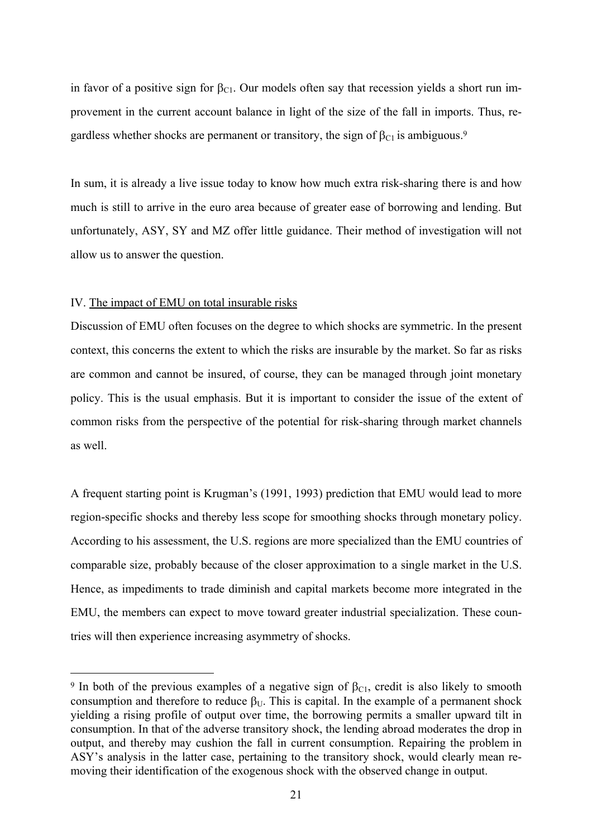in favor of a positive sign for  $\beta_{\text{Cl}}$ . Our models often say that recession yields a short run improvement in the current account balance in light of the size of the fall in imports. Thus, regardless whether shocks are permanent or transitory, the sign of  $\beta_{C1}$  is ambiguous.<sup>9</sup>

In sum, it is already a live issue today to know how much extra risk-sharing there is and how much is still to arrive in the euro area because of greater ease of borrowing and lending. But unfortunately, ASY, SY and MZ offer little guidance. Their method of investigation will not allow us to answer the question.

#### IV. The impact of EMU on total insurable risks

Discussion of EMU often focuses on the degree to which shocks are symmetric. In the present context, this concerns the extent to which the risks are insurable by the market. So far as risks are common and cannot be insured, of course, they can be managed through joint monetary policy. This is the usual emphasis. But it is important to consider the issue of the extent of common risks from the perspective of the potential for risk-sharing through market channels as well.

A frequent starting point is Krugman's (1991, 1993) prediction that EMU would lead to more region-specific shocks and thereby less scope for smoothing shocks through monetary policy. According to his assessment, the U.S. regions are more specialized than the EMU countries of comparable size, probably because of the closer approximation to a single market in the U.S. Hence, as impediments to trade diminish and capital markets become more integrated in the EMU, the members can expect to move toward greater industrial specialization. These countries will then experience increasing asymmetry of shocks.

<sup>&</sup>lt;sup>9</sup> In both of the previous examples of a negative sign of  $\beta_{C1}$ , credit is also likely to smooth consumption and therefore to reduce  $\beta_{\text{U}}$ . This is capital. In the example of a permanent shock yielding a rising profile of output over time, the borrowing permits a smaller upward tilt in consumption. In that of the adverse transitory shock, the lending abroad moderates the drop in output, and thereby may cushion the fall in current consumption. Repairing the problem in ASY's analysis in the latter case, pertaining to the transitory shock, would clearly mean removing their identification of the exogenous shock with the observed change in output.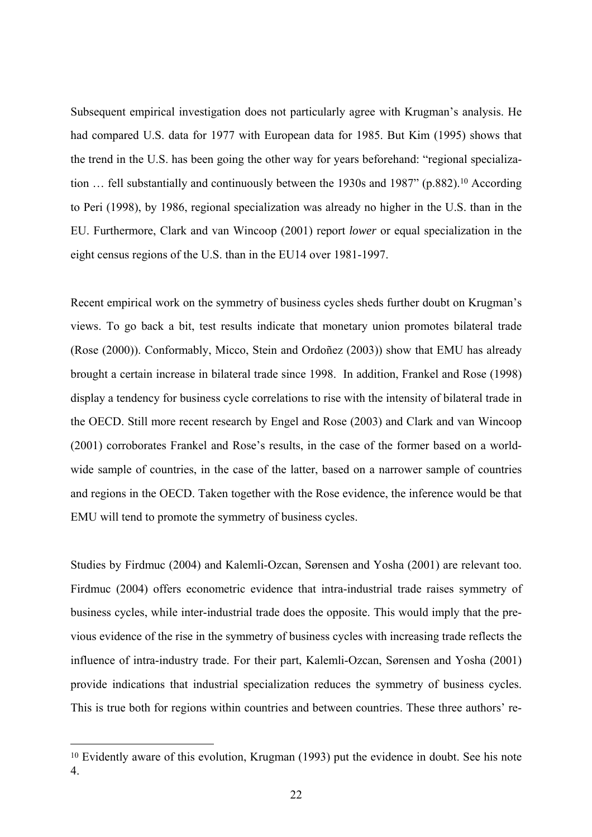Subsequent empirical investigation does not particularly agree with Krugman's analysis. He had compared U.S. data for 1977 with European data for 1985. But Kim (1995) shows that the trend in the U.S. has been going the other way for years beforehand: "regional specialization ... fell substantially and continuously between the 1930s and 1987" (p.882).<sup>10</sup> According to Peri (1998), by 1986, regional specialization was already no higher in the U.S. than in the EU. Furthermore, Clark and van Wincoop (2001) report *lower* or equal specialization in the eight census regions of the U.S. than in the EU14 over 1981-1997.

Recent empirical work on the symmetry of business cycles sheds further doubt on Krugman's views. To go back a bit, test results indicate that monetary union promotes bilateral trade (Rose (2000)). Conformably, Micco, Stein and Ordoñez (2003)) show that EMU has already brought a certain increase in bilateral trade since 1998. In addition, Frankel and Rose (1998) display a tendency for business cycle correlations to rise with the intensity of bilateral trade in the OECD. Still more recent research by Engel and Rose (2003) and Clark and van Wincoop (2001) corroborates Frankel and Rose's results, in the case of the former based on a worldwide sample of countries, in the case of the latter, based on a narrower sample of countries and regions in the OECD. Taken together with the Rose evidence, the inference would be that EMU will tend to promote the symmetry of business cycles.

Studies by Firdmuc (2004) and Kalemli-Ozcan, Sørensen and Yosha (2001) are relevant too. Firdmuc (2004) offers econometric evidence that intra-industrial trade raises symmetry of business cycles, while inter-industrial trade does the opposite. This would imply that the previous evidence of the rise in the symmetry of business cycles with increasing trade reflects the influence of intra-industry trade. For their part, Kalemli-Ozcan, Sørensen and Yosha (2001) provide indications that industrial specialization reduces the symmetry of business cycles. This is true both for regions within countries and between countries. These three authors' re-

 <sup>10</sup> Evidently aware of this evolution, Krugman (1993) put the evidence in doubt. See his note 4.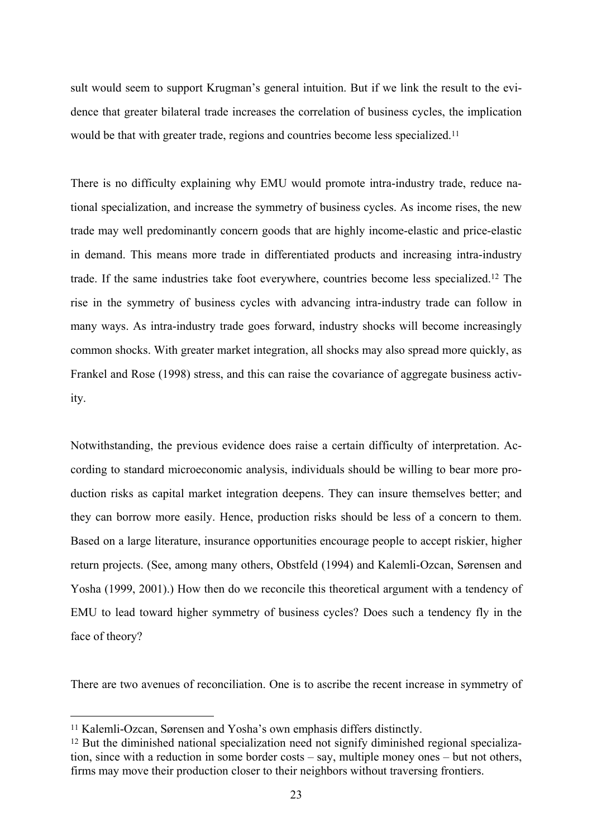sult would seem to support Krugman's general intuition. But if we link the result to the evidence that greater bilateral trade increases the correlation of business cycles, the implication would be that with greater trade, regions and countries become less specialized.<sup>11</sup>

There is no difficulty explaining why EMU would promote intra-industry trade, reduce national specialization, and increase the symmetry of business cycles. As income rises, the new trade may well predominantly concern goods that are highly income-elastic and price-elastic in demand. This means more trade in differentiated products and increasing intra-industry trade. If the same industries take foot everywhere, countries become less specialized.12 The rise in the symmetry of business cycles with advancing intra-industry trade can follow in many ways. As intra-industry trade goes forward, industry shocks will become increasingly common shocks. With greater market integration, all shocks may also spread more quickly, as Frankel and Rose (1998) stress, and this can raise the covariance of aggregate business activity.

Notwithstanding, the previous evidence does raise a certain difficulty of interpretation. According to standard microeconomic analysis, individuals should be willing to bear more production risks as capital market integration deepens. They can insure themselves better; and they can borrow more easily. Hence, production risks should be less of a concern to them. Based on a large literature, insurance opportunities encourage people to accept riskier, higher return projects. (See, among many others, Obstfeld (1994) and Kalemli-Ozcan, Sørensen and Yosha (1999, 2001).) How then do we reconcile this theoretical argument with a tendency of EMU to lead toward higher symmetry of business cycles? Does such a tendency fly in the face of theory?

There are two avenues of reconciliation. One is to ascribe the recent increase in symmetry of

 <sup>11</sup> Kalemli-Ozcan, Sørensen and Yosha's own emphasis differs distinctly.

<sup>&</sup>lt;sup>12</sup> But the diminished national specialization need not signify diminished regional specialization, since with a reduction in some border costs – say, multiple money ones – but not others, firms may move their production closer to their neighbors without traversing frontiers.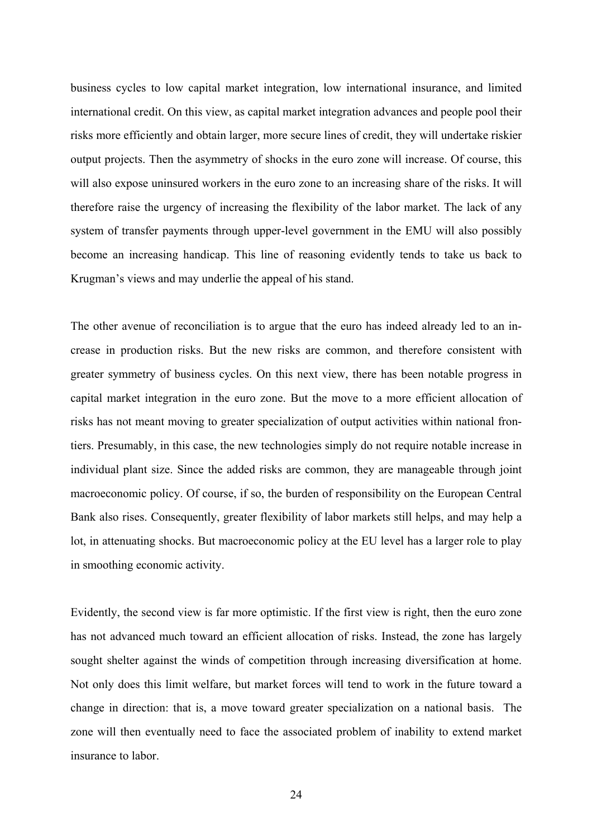business cycles to low capital market integration, low international insurance, and limited international credit. On this view, as capital market integration advances and people pool their risks more efficiently and obtain larger, more secure lines of credit, they will undertake riskier output projects. Then the asymmetry of shocks in the euro zone will increase. Of course, this will also expose uninsured workers in the euro zone to an increasing share of the risks. It will therefore raise the urgency of increasing the flexibility of the labor market. The lack of any system of transfer payments through upper-level government in the EMU will also possibly become an increasing handicap. This line of reasoning evidently tends to take us back to Krugman's views and may underlie the appeal of his stand.

The other avenue of reconciliation is to argue that the euro has indeed already led to an increase in production risks. But the new risks are common, and therefore consistent with greater symmetry of business cycles. On this next view, there has been notable progress in capital market integration in the euro zone. But the move to a more efficient allocation of risks has not meant moving to greater specialization of output activities within national frontiers. Presumably, in this case, the new technologies simply do not require notable increase in individual plant size. Since the added risks are common, they are manageable through joint macroeconomic policy. Of course, if so, the burden of responsibility on the European Central Bank also rises. Consequently, greater flexibility of labor markets still helps, and may help a lot, in attenuating shocks. But macroeconomic policy at the EU level has a larger role to play in smoothing economic activity.

Evidently, the second view is far more optimistic. If the first view is right, then the euro zone has not advanced much toward an efficient allocation of risks. Instead, the zone has largely sought shelter against the winds of competition through increasing diversification at home. Not only does this limit welfare, but market forces will tend to work in the future toward a change in direction: that is, a move toward greater specialization on a national basis. The zone will then eventually need to face the associated problem of inability to extend market insurance to labor.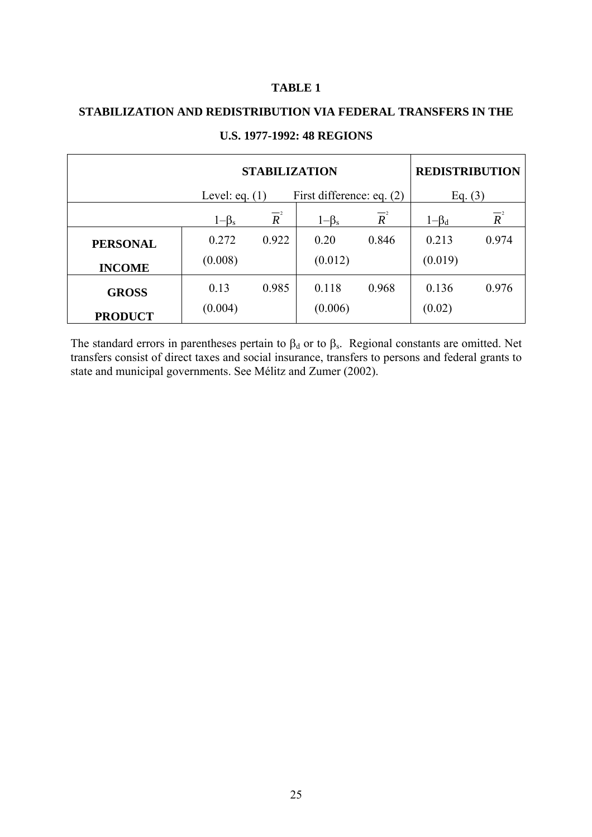#### **TABLE 1**

# **STABILIZATION AND REDISTRIBUTION VIA FEDERAL TRANSFERS IN THE**

|                 | <b>STABILIZATION</b> |                                               |             |                  |             | <b>REDISTRIBUTION</b> |  |
|-----------------|----------------------|-----------------------------------------------|-------------|------------------|-------------|-----------------------|--|
|                 |                      | First difference: eq. (2)<br>Level: eq. $(1)$ |             |                  | Eq. $(3)$   |                       |  |
|                 | $1-\beta_s$          | $\overline{R}^2$                              | $1-\beta_s$ | $\overline{R}^2$ | $1-\beta_d$ | $\overline{R}^2$      |  |
| <b>PERSONAL</b> | 0.272                | 0.922                                         | 0.20        | 0.846            | 0.213       | 0.974                 |  |
| <b>INCOME</b>   | (0.008)              |                                               | (0.012)     |                  | (0.019)     |                       |  |
| <b>GROSS</b>    | 0.13                 | 0.985                                         | 0.118       | 0.968            | 0.136       | 0.976                 |  |
| <b>PRODUCT</b>  | (0.004)              |                                               | (0.006)     |                  | (0.02)      |                       |  |

#### **U.S. 1977-1992: 48 REGIONS**

The standard errors in parentheses pertain to  $\beta_d$  or to  $\beta_s$ . Regional constants are omitted. Net transfers consist of direct taxes and social insurance, transfers to persons and federal grants to state and municipal governments. See Mélitz and Zumer (2002).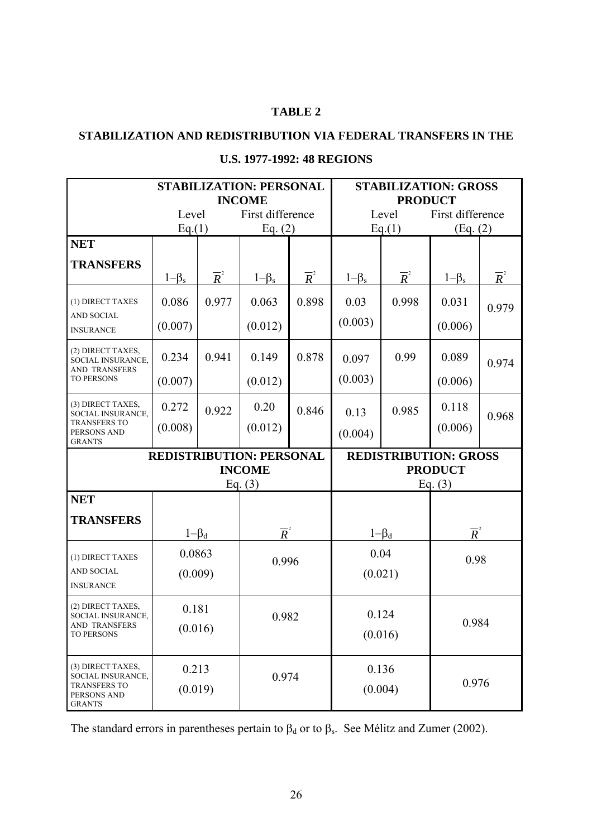## **TABLE 2**

#### **STABILIZATION AND REDISTRIBUTION VIA FEDERAL TRANSFERS IN THE**

|                                                                                     | <b>STABILIZATION: PERSONAL</b><br><b>INCOME</b> |                  |                              | <b>STABILIZATION: GROSS</b><br><b>PRODUCT</b> |                  |                  |                  |                  |
|-------------------------------------------------------------------------------------|-------------------------------------------------|------------------|------------------------------|-----------------------------------------------|------------------|------------------|------------------|------------------|
|                                                                                     | Level                                           |                  | First difference             |                                               | Level            |                  | First difference |                  |
|                                                                                     | Eq.(1)                                          |                  | Eq. $(2)$                    |                                               | Eq.(1)           |                  | (Eq. (2)         |                  |
| <b>NET</b>                                                                          |                                                 |                  |                              |                                               |                  |                  |                  |                  |
| <b>TRANSFERS</b>                                                                    |                                                 |                  |                              |                                               |                  |                  |                  |                  |
|                                                                                     | $1-\beta_s$                                     | $\overline{R}^2$ | $1-\beta_s$                  | $\overline{R}^2$                              | $1-\beta_s$      | $\overline{R}^2$ | $1-\beta_s$      | $\overline{R}^2$ |
| (1) DIRECT TAXES                                                                    | 0.086                                           | 0.977            | 0.063                        | 0.898                                         | 0.03             | 0.998            | 0.031            | 0.979            |
| <b>AND SOCIAL</b><br><b>INSURANCE</b>                                               | (0.007)                                         |                  | (0.012)                      |                                               | (0.003)          |                  | (0.006)          |                  |
| (2) DIRECT TAXES,<br>SOCIAL INSURANCE,<br><b>AND TRANSFERS</b><br><b>TO PERSONS</b> | 0.234                                           | 0.941            | 0.149                        | 0.878                                         | 0.097            | 0.99             | 0.089            | 0.974            |
|                                                                                     | (0.007)                                         |                  | (0.012)                      |                                               | (0.003)          |                  | (0.006)          |                  |
| (3) DIRECT TAXES,<br>SOCIAL INSURANCE,                                              | 0.272                                           | 0.922            | 0.20                         | 0.846                                         | 0.13             | 0.985            | 0.118            | 0.968            |
| <b>TRANSFERS TO</b><br>PERSONS AND<br><b>GRANTS</b>                                 | (0.008)                                         |                  | (0.012)                      |                                               | (0.004)          |                  | (0.006)          |                  |
| <b>REDISTRIBUTION: PERSONAL</b>                                                     |                                                 |                  | <b>REDISTRIBUTION: GROSS</b> |                                               |                  |                  |                  |                  |
|                                                                                     | <b>INCOME</b><br>Eq. $(3)$                      |                  |                              | <b>PRODUCT</b><br>Eq. $(3)$                   |                  |                  |                  |                  |
| <b>NET</b>                                                                          |                                                 |                  |                              |                                               |                  |                  |                  |                  |
| <b>TRANSFERS</b>                                                                    |                                                 |                  |                              |                                               |                  |                  |                  |                  |
|                                                                                     | $1-\beta_d$                                     |                  | $\overline{R}^2$             |                                               | $1-\beta_d$      |                  | $\overline{R}^2$ |                  |
| (1) DIRECT TAXES                                                                    | 0.0863                                          |                  | 0.996                        |                                               | 0.04             |                  | 0.98             |                  |
| <b>AND SOCIAL</b><br><b>INSURANCE</b>                                               | (0.009)                                         |                  |                              |                                               | (0.021)          |                  |                  |                  |
| (2) DIRECT TAXES,<br>SOCIAL INSURANCE,                                              | 0.181<br>0.982                                  |                  | 0.124                        |                                               |                  |                  |                  |                  |
| AND TRANSFERS<br><b>TO PERSONS</b>                                                  | (0.016)                                         |                  |                              |                                               | (0.016)          |                  | 0.984            |                  |
| (3) DIRECT TAXES,<br>SOCIAL INSURANCE,                                              | 0.213<br>(0.019)                                |                  | 0.974                        |                                               | 0.136<br>(0.004) |                  | 0.976            |                  |
| <b>TRANSFERS TO</b><br>PERSONS AND<br><b>GRANTS</b>                                 |                                                 |                  |                              |                                               |                  |                  |                  |                  |

## **U.S. 1977-1992: 48 REGIONS**

The standard errors in parentheses pertain to  $\beta_d$  or to  $\beta_s$ . See Mélitz and Zumer (2002).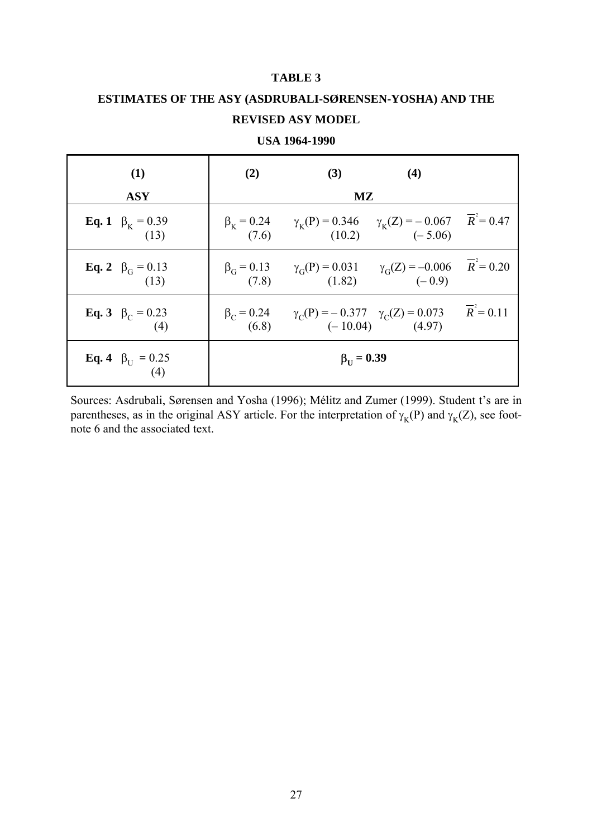#### **TABLE 3**

## **ESTIMATES OF THE ASY (ASDRUBALI-SØRENSEN-YOSHA) AND THE REVISED ASY MODEL**

| (1)                                   | (2)                       | (3)                                                                                                                   | (4)                |  |  |
|---------------------------------------|---------------------------|-----------------------------------------------------------------------------------------------------------------------|--------------------|--|--|
| <b>ASY</b>                            | $\mathbf{M}\mathbf{Z}$    |                                                                                                                       |                    |  |  |
| <b>Eq. 1</b> $\beta_K = 0.39$<br>(13) | (7.6)                     | $\beta_{\rm K} = 0.24$ $\gamma_{\rm K}(\text{P}) = 0.346$ $\gamma_{\rm K}(\text{Z}) = -0.067$ $\overline{R}^2 = 0.47$ | $(10.2)$ $(-5.06)$ |  |  |
| <b>Eq. 2</b> $\beta_G = 0.13$<br>(13) |                           | $\beta_G = 0.13$ $\gamma_G(P) = 0.031$ $\gamma_G(Z) = -0.006$ $\overline{R}^2 = 0.20$<br>$(7.8)$ $(1.82)$ $(-0.9)$    |                    |  |  |
| <b>Eq. 3</b> $\beta_C = 0.23$<br>(4)  | $\beta_C = 0.24$<br>(6.8) | $\gamma_C(P) = -0.377 \gamma_C(Z) = 0.073 \qquad \overline{R}^2 = 0.11$<br>(-10.04) (4.97)                            |                    |  |  |
| <b>Eq. 4</b> $\beta_U = 0.25$<br>(4)  |                           | $\beta_{\text{H}} = 0.39$                                                                                             |                    |  |  |

**USA 1964-1990**

Sources: Asdrubali, Sørensen and Yosha (1996); Mélitz and Zumer (1999). Student t's are in parentheses, as in the original ASY article. For the interpretation of  $\gamma_K(P)$  and  $\gamma_K(Z)$ , see footnote 6 and the associated text.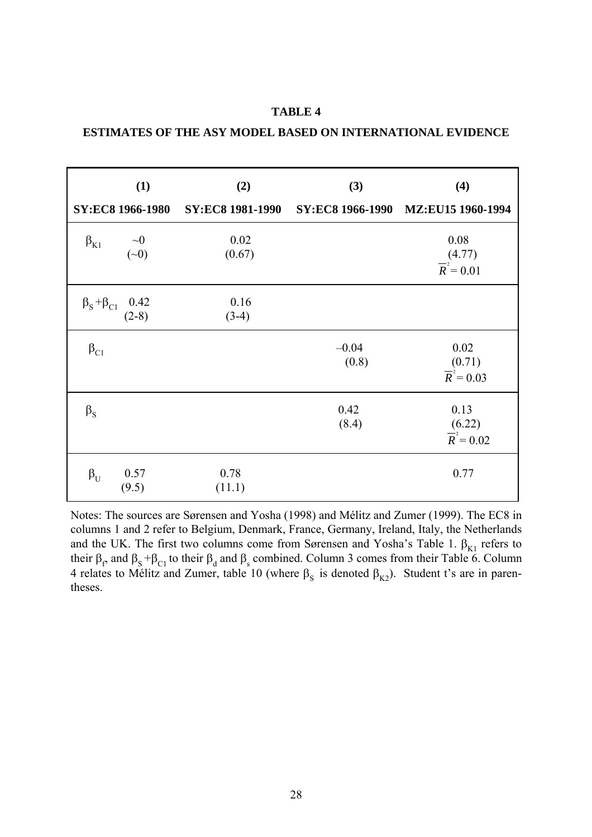|                                       | (1)<br>SY:EC8 1966-1980 | (2)<br><b>SY:EC8 1981-1990</b> | (3)<br><b>SY:EC8 1966-1990</b> | (4)<br>MZ:EU15 1960-1994                  |
|---------------------------------------|-------------------------|--------------------------------|--------------------------------|-------------------------------------------|
|                                       |                         |                                |                                |                                           |
| $\beta_{K1}$                          | $\sim 0$<br>$(\sim 0)$  | 0.02<br>(0.67)                 |                                | 0.08<br>(4.77)<br>$\overline{R}^2 = 0.01$ |
| $\beta_{\rm S} + \beta_{\rm C1}$ 0.42 | $(2-8)$                 | 0.16<br>$(3-4)$                |                                |                                           |
| $\beta_{C1}$                          |                         |                                | $-0.04$<br>(0.8)               | 0.02<br>(0.71)<br>$\overline{R}^2 = 0.03$ |
| $\beta_{S}$                           |                         |                                | 0.42<br>(8.4)                  | 0.13<br>(6.22)<br>$\overline{R}^2$ = 0.02 |
| $\beta_{\rm U}$                       | 0.57<br>(9.5)           | 0.78<br>(11.1)                 |                                | 0.77                                      |

**TABLE 4 ESTIMATES OF THE ASY MODEL BASED ON INTERNATIONAL EVIDENCE** 

Notes: The sources are Sørensen and Yosha (1998) and Mélitz and Zumer (1999). The EC8 in columns 1 and 2 refer to Belgium, Denmark, France, Germany, Ireland, Italy, the Netherlands and the UK. The first two columns come from Sørensen and Yosha's Table 1.  $\beta_{K1}$  refers to their  $\beta_f$  and  $\beta_S + \beta_{C1}$  to their  $\beta_d$  and  $\beta_s$  combined. Column 3 comes from their Table 6. Column 4 relates to Mélitz and Zumer, table 10 (where  $\beta_S$  is denoted  $\beta_{K2}$ ). Student t's are in parentheses.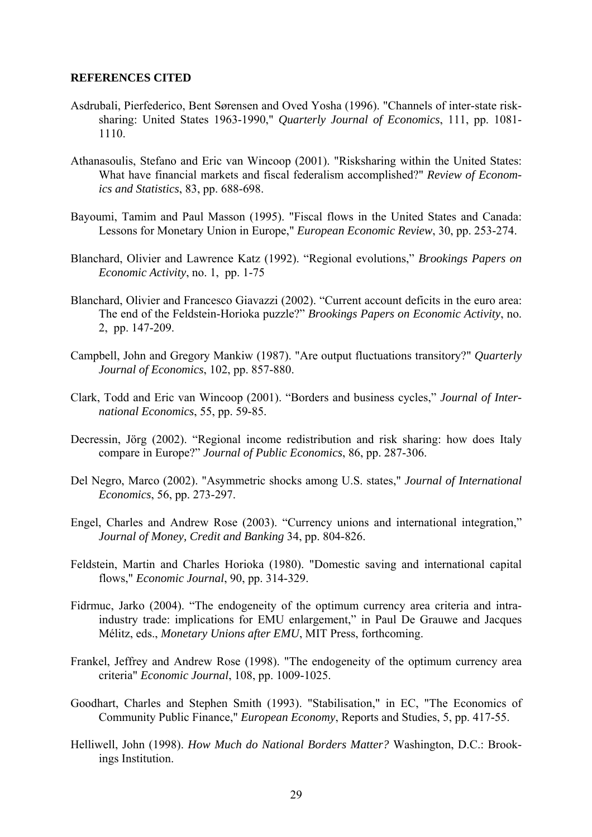#### **REFERENCES CITED**

- Asdrubali, Pierfederico, Bent Sørensen and Oved Yosha (1996). "Channels of inter-state risksharing: United States 1963-1990," *Quarterly Journal of Economics*, 111, pp. 1081- 1110.
- Athanasoulis, Stefano and Eric van Wincoop (2001). "Risksharing within the United States: What have financial markets and fiscal federalism accomplished?" *Review of Economics and Statistics*, 83, pp. 688-698.
- Bayoumi, Tamim and Paul Masson (1995). "Fiscal flows in the United States and Canada: Lessons for Monetary Union in Europe," *European Economic Review*, 30, pp. 253-274.
- Blanchard, Olivier and Lawrence Katz (1992). "Regional evolutions," *Brookings Papers on Economic Activity*, no. 1, pp. 1-75
- Blanchard, Olivier and Francesco Giavazzi (2002). "Current account deficits in the euro area: The end of the Feldstein-Horioka puzzle?" *Brookings Papers on Economic Activity*, no. 2, pp. 147-209.
- Campbell, John and Gregory Mankiw (1987). "Are output fluctuations transitory?" *Quarterly Journal of Economics*, 102, pp. 857-880.
- Clark, Todd and Eric van Wincoop (2001). "Borders and business cycles," *Journal of International Economics*, 55, pp. 59-85.
- Decressin, Jörg (2002). "Regional income redistribution and risk sharing: how does Italy compare in Europe?" *Journal of Public Economics*, 86, pp. 287-306.
- Del Negro, Marco (2002). "Asymmetric shocks among U.S. states," *Journal of International Economics*, 56, pp. 273-297.
- Engel, Charles and Andrew Rose (2003). "Currency unions and international integration," *Journal of Money, Credit and Banking* 34, pp. 804-826.
- Feldstein, Martin and Charles Horioka (1980). "Domestic saving and international capital flows," *Economic Journal*, 90, pp. 314-329.
- Fidrmuc, Jarko (2004). "The endogeneity of the optimum currency area criteria and intraindustry trade: implications for EMU enlargement," in Paul De Grauwe and Jacques Mélitz, eds., *Monetary Unions after EMU*, MIT Press, forthcoming.
- Frankel, Jeffrey and Andrew Rose (1998). "The endogeneity of the optimum currency area criteria" *Economic Journal*, 108, pp. 1009-1025.
- Goodhart, Charles and Stephen Smith (1993). "Stabilisation," in EC, "The Economics of Community Public Finance," *European Economy*, Reports and Studies, 5, pp. 417-55.
- Helliwell, John (1998). *How Much do National Borders Matter?* Washington, D.C.: Brookings Institution.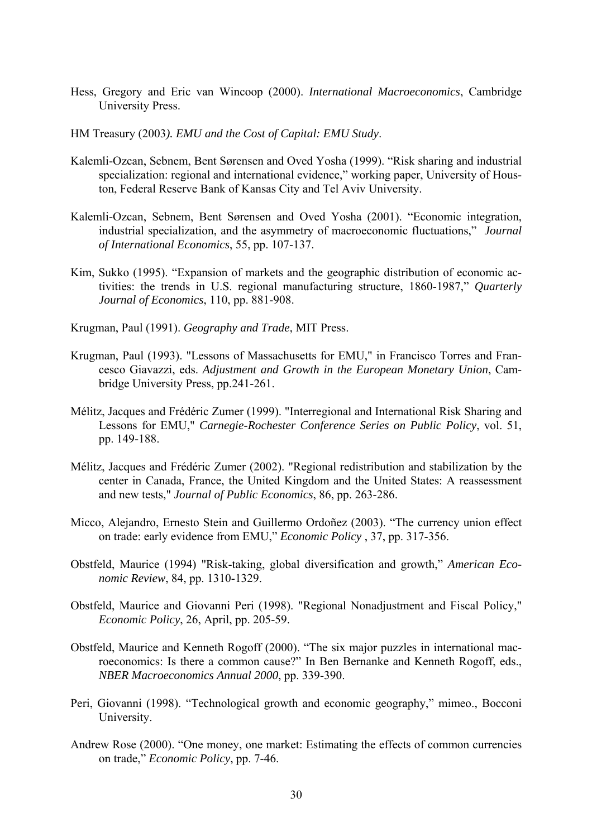- Hess, Gregory and Eric van Wincoop (2000). *International Macroeconomics*, Cambridge University Press.
- HM Treasury (2003*). EMU and the Cost of Capital: EMU Study*.
- Kalemli-Ozcan, Sebnem, Bent Sørensen and Oved Yosha (1999). "Risk sharing and industrial specialization: regional and international evidence," working paper, University of Houston, Federal Reserve Bank of Kansas City and Tel Aviv University.
- Kalemli-Ozcan, Sebnem, Bent Sørensen and Oved Yosha (2001). "Economic integration, industrial specialization, and the asymmetry of macroeconomic fluctuations," *Journal of International Economics*, 55, pp. 107-137.
- Kim, Sukko (1995). "Expansion of markets and the geographic distribution of economic activities: the trends in U.S. regional manufacturing structure, 1860-1987," *Quarterly Journal of Economics*, 110, pp. 881-908.
- Krugman, Paul (1991). *Geography and Trade*, MIT Press.
- Krugman, Paul (1993). "Lessons of Massachusetts for EMU," in Francisco Torres and Francesco Giavazzi, eds. *Adjustment and Growth in the European Monetary Union*, Cambridge University Press, pp.241-261.
- Mélitz, Jacques and Frédéric Zumer (1999). "Interregional and International Risk Sharing and Lessons for EMU," *Carnegie-Rochester Conference Series on Public Policy*, vol. 51, pp. 149-188.
- Mélitz, Jacques and Frédéric Zumer (2002). "Regional redistribution and stabilization by the center in Canada, France, the United Kingdom and the United States: A reassessment and new tests," *Journal of Public Economics*, 86, pp. 263-286.
- Micco, Alejandro, Ernesto Stein and Guillermo Ordoñez (2003). "The currency union effect on trade: early evidence from EMU," *Economic Policy* , 37, pp. 317-356.
- Obstfeld, Maurice (1994) "Risk-taking, global diversification and growth," *American Economic Review*, 84, pp. 1310-1329.
- Obstfeld, Maurice and Giovanni Peri (1998). "Regional Nonadjustment and Fiscal Policy," *Economic Policy*, 26, April, pp. 205-59.
- Obstfeld, Maurice and Kenneth Rogoff (2000). "The six major puzzles in international macroeconomics: Is there a common cause?" In Ben Bernanke and Kenneth Rogoff, eds., *NBER Macroeconomics Annual 2000*, pp. 339-390.
- Peri, Giovanni (1998). "Technological growth and economic geography," mimeo., Bocconi University.
- Andrew Rose (2000). "One money, one market: Estimating the effects of common currencies on trade," *Economic Policy*, pp. 7-46.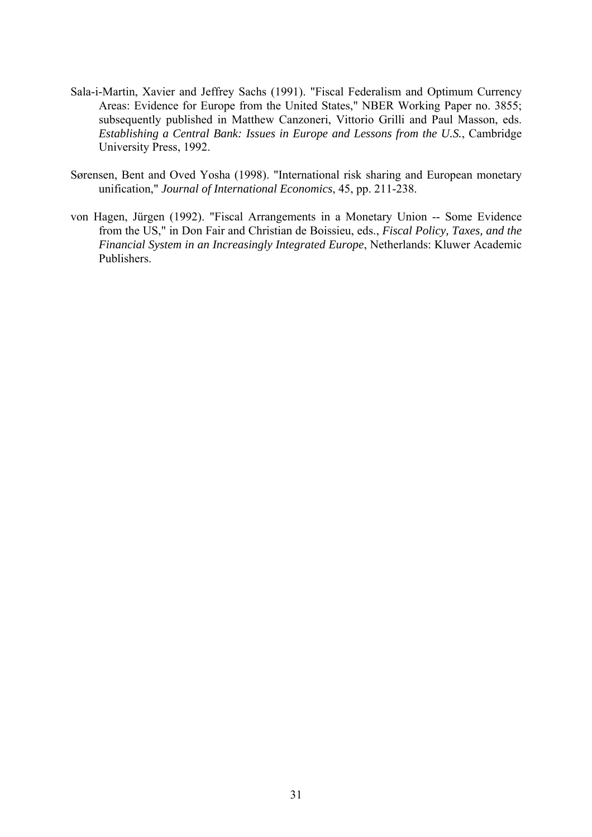- Sala-i-Martin, Xavier and Jeffrey Sachs (1991). "Fiscal Federalism and Optimum Currency Areas: Evidence for Europe from the United States," NBER Working Paper no. 3855; subsequently published in Matthew Canzoneri, Vittorio Grilli and Paul Masson, eds. *Establishing a Central Bank: Issues in Europe and Lessons from the U.S.*, Cambridge University Press, 1992.
- Sørensen, Bent and Oved Yosha (1998). "International risk sharing and European monetary unification," *Journal of International Economics*, 45, pp. 211-238.
- von Hagen, Jürgen (1992). "Fiscal Arrangements in a Monetary Union -- Some Evidence from the US," in Don Fair and Christian de Boissieu, eds., *Fiscal Policy, Taxes, and the Financial System in an Increasingly Integrated Europe*, Netherlands: Kluwer Academic Publishers.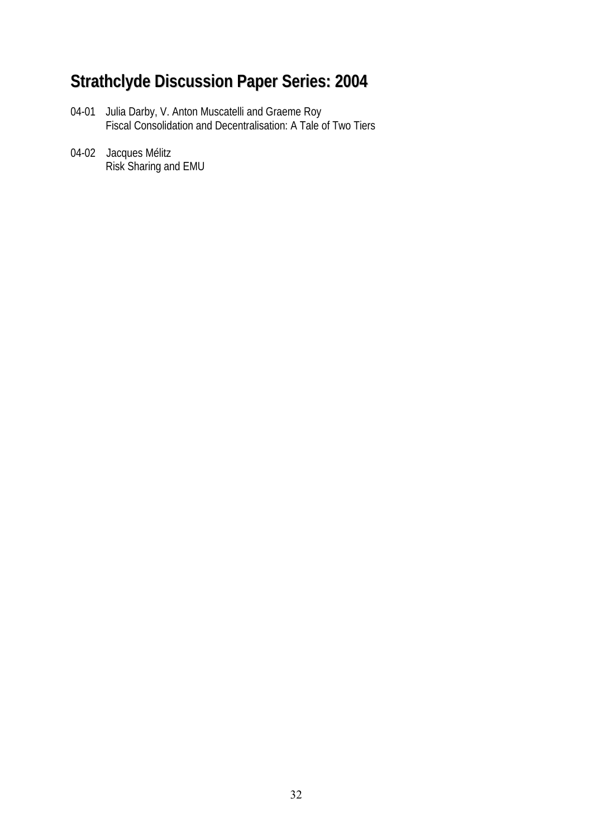# **Strathclyde Discussion Paper Series: 2004**

- 04-01 Julia Darby, V. Anton Muscatelli and Graeme Roy Fiscal Consolidation and Decentralisation: A Tale of Two Tiers
- 04-02 Jacques Mélitz Risk Sharing and EMU